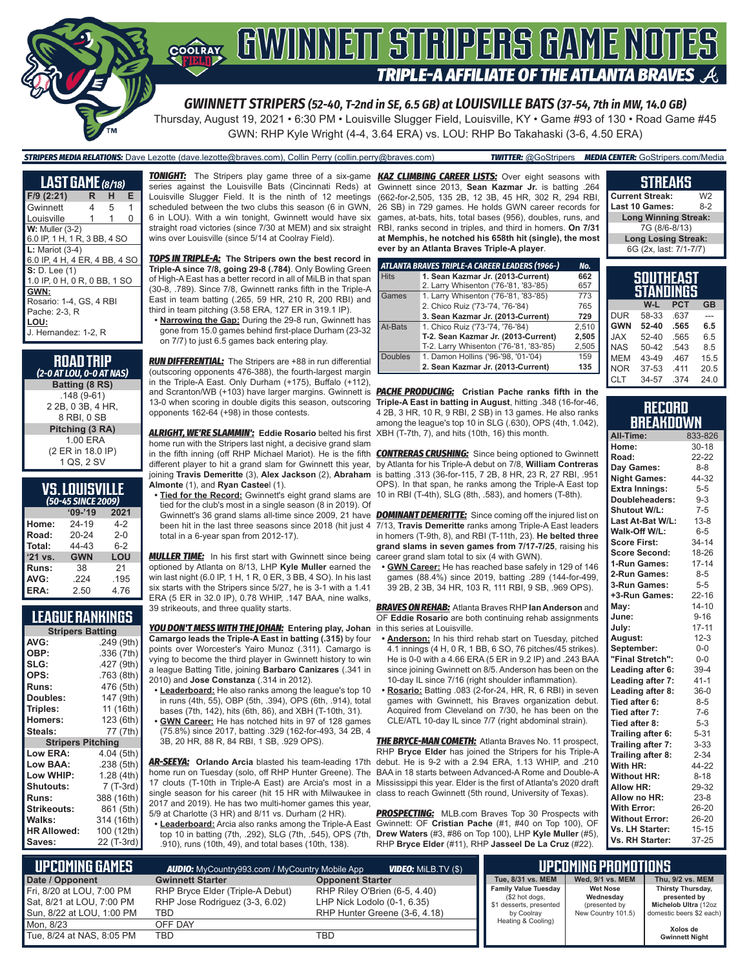

Thursday, August 19, 2021 • 6:30 PM • Louisville Slugger Field, Louisville, KY • Game #93 of 130 • Road Game #45 GWN: RHP Kyle Wright (4-4, 3.64 ERA) vs. LOU: RHP Bo Takahaski (3-6, 4.50 ERA)

*STRIPERS MEDIA RELATIONS:* Dave Lezotte (dave.lezotte@braves.com), Collin Perry (collin.perry@braves.com) *TWITTER:* @GoStripers *MEDIA CENTER:* GoStripers.com/Media

| <b>LAST GAME</b> (8/18)       |    |   |   |  |  |
|-------------------------------|----|---|---|--|--|
| $F/9$ (2:21)                  | R. | н | Е |  |  |
| Gwinnett                      | 4  | 5 | 1 |  |  |
| Louisville                    | 1  | 1 | 0 |  |  |
| $W:$ Muller $(3-2)$           |    |   |   |  |  |
| 6.0 IP, 1 H, 1 R, 3 BB, 4 SO  |    |   |   |  |  |
| $L:$ Mariot $(3-4)$           |    |   |   |  |  |
| 6.0 IP, 4 H, 4 ER, 4 BB, 4 SO |    |   |   |  |  |
| S: D. Lee (1)                 |    |   |   |  |  |
| 1.0 IP, 0 H, 0 R, 0 BB, 1 SO  |    |   |   |  |  |
| GWN:                          |    |   |   |  |  |
| Rosario: 1-4, GS, 4 RBI       |    |   |   |  |  |
| Pache: 2-3. R                 |    |   |   |  |  |
| LOU:                          |    |   |   |  |  |
| J. Hernandez: 1-2, R          |    |   |   |  |  |
|                               |    |   |   |  |  |

| <b>ROAD TRIP</b><br>(2-0 AT LOU, 0-0 AT NAS) |
|----------------------------------------------|
| Batting (8 RS)                               |
| $.148(9-61)$                                 |
| 2 2B, 0 3B, 4 HR.                            |
| 8 RBI, 0 SB                                  |
| Pitching (3 RA)                              |
| 1.00 FRA                                     |
| (2 ER in 18.0 IP)                            |
| 1 QS, 2 SV                                   |
|                                              |

| VS.LOUISVILLE'     |
|--------------------|
| (50-45 SINCE 2009) |

| (JU 4J JINLL ZUUS) |            |         |  |  |  |
|--------------------|------------|---------|--|--|--|
|                    | $09 - 19$  | 2021    |  |  |  |
| Home:              | 24-19      | $4-2$   |  |  |  |
| Road:              | 20-24      | $2 - 0$ |  |  |  |
| Total:             | 44-43      | $6 - 2$ |  |  |  |
| $'21$ vs.          | <b>GWN</b> | LOU     |  |  |  |
| Runs:              | 38         | 21      |  |  |  |
| AVG:               | .224       | .195    |  |  |  |
| ERA:               | 2.50       | 4.76    |  |  |  |

#### **LEAGUE RANKINGS**

| <b>Stripers Batting</b>  |            |  |  |  |
|--------------------------|------------|--|--|--|
| AVG:                     | .249 (9th) |  |  |  |
| OBP:                     | .336(7th)  |  |  |  |
| SLG:                     | .427 (9th) |  |  |  |
| OPS:                     | .763 (8th) |  |  |  |
| <b>Runs:</b>             | 476 (5th)  |  |  |  |
| Doubles:                 | 147 (9th)  |  |  |  |
| Triples:                 | 11 (16th)  |  |  |  |
| Homers:                  | 123 (6th)  |  |  |  |
| Steals:                  | 77 (7th)   |  |  |  |
| <b>Stripers Pitching</b> |            |  |  |  |
|                          |            |  |  |  |
| Low ERA:                 | 4.04 (5th) |  |  |  |
| Low BAA:                 | .238 (5th) |  |  |  |
| Low WHIP:                | 1.28 (4th) |  |  |  |
| <b>Shutouts:</b>         | 7 (T-3rd)  |  |  |  |
| <b>Runs:</b>             | 388 (16th) |  |  |  |
| <b>Strikeouts:</b>       | 861 (5th)  |  |  |  |
| Walks:                   | 314 (16th) |  |  |  |
| <b>HR Allowed:</b>       | 100 (12th) |  |  |  |

series against the Louisville Bats (Cincinnati Reds) at Louisville Slugger Field. It is the ninth of 12 meetings scheduled between the two clubs this season (6 in GWN, 6 in LOU). With a win tonight, Gwinnett would have six straight road victories (since 7/30 at MEM) and six straight RBI, ranks second in triples, and third in homers. **On 7/31**  wins over Louisville (since 5/14 at Coolray Field).

*TOPS IN TRIPLE-A:* **The Stripers own the best record in Triple-A since 7/8, going 29-8 (.784)**. Only Bowling Green of High-A East has a better record in all of MiLB in that span (30-8, .789). Since 7/8, Gwinnett ranks fifth in the Triple-A East in team batting (.265, 59 HR, 210 R, 200 RBI) and third in team pitching (3.58 ERA, 127 ER in 319.1 IP).

**• Narrowing the Gap:** During the 29-8 run, Gwinnett has gone from 15.0 games behind first-place Durham (23-32 on 7/7) to just 6.5 games back entering play.

*RUN DIFFERENTIAL:* The Stripers are +88 in run differential (outscoring opponents 476-388), the fourth-largest margin in the Triple-A East. Only Durham (+175), Buffalo (+112), and Scranton/WB (+103) have larger margins. Gwinnett is *PACHE PRODUCING:* **Cristian Pache ranks fifth in the**  13-0 when scoring in double digits this season, outscoring opponents 162-64 (+98) in those contests.

*ALRIGHT, WE'RE SLAMMIN':* **Eddie Rosario** belted his first home run with the Stripers last night, a decisive grand slam **Almonte** (1), and **Ryan Castee**l (1).

**• Tied for the Record:** Gwinnett's eight grand slams are tied for the club's most in a single season (8 in 2019). Of total in a 6-year span from 2012-17).

*MULLER TIME:* In his first start with Gwinnett since being optioned by Atlanta on 8/13, LHP **Kyle Muller** earned the win last night (6.0 IP, 1 H, 1 R, 0 ER, 3 BB, 4 SO). In his last six starts with the Stripers since 5/27, he is 3-1 with a 1.41 ERA (5 ER in 32.0 IP), 0.78 WHIP, .147 BAA, nine walks, 39 strikeouts, and three quality starts.

*YOU DON'T MESS WITH THE JOHAN:* **Entering play, Johan**  in this series at Louisville. **Camargo leads the Triple-A East in batting (.315)** by four points over Worcester's Yairo Munoz (.311). Camargo is vying to become the third player in Gwinnett history to win a league Batting Title, joining **Barbaro Canizares** (.341 in 2010) and **Jose Constanza** (.314 in 2012).

- **• Leaderboard:** He also ranks among the league's top 10 in runs (4th, 55), OBP (5th, .394), OPS (6th, .914), total bases (7th, 142), hits (6th, 86), and XBH (T-10th, 31).
- **• GWN Career:** He has notched hits in 97 of 128 games (75.8%) since 2017, batting .329 (162-for-493, 34 2B, 4
- 3B, 20 HR, 88 R, 84 RBI, 1 SB, .929 OPS).

*AR-SEEYA:* **Orlando Arcia** blasted his team-leading 17th single season for his career (hit 15 HR with Milwaukee in class to reach Gwinnett (5th round, University of Texas). 2017 and 2019). He has two multi-homer games this year, 5/9 at Charlotte (3 HR) and 8/11 vs. Durham (2 HR).

**• Leaderboard:** Arcia also ranks among the Triple-A East Gwinnett: OF **Cristian Pache** (#1, #40 on Top 100), OF .910), runs (10th, 49), and total bases (10th, 138).

*TONIGHT:* The Stripers play game three of a six-game *KAZ CLIMBING CAREER LISTS:* Over eight seasons with Gwinnett since 2013, **Sean Kazmar Jr.** is batting .264 (662-for-2,505, 135 2B, 12 3B, 45 HR, 302 R, 294 RBI, 26 SB) in 729 games. He holds GWN career records for games, at-bats, hits, total bases (956), doubles, runs, and **at Memphis, he notched his 658th hit (single), the most ever by an Atlanta Braves Triple-A player**.

|                | ATLANTA BRAVES TRIPLE-A CAREER LEADERS (1966-) | No.   |
|----------------|------------------------------------------------|-------|
| <b>Hits</b>    | 1. Sean Kazmar Jr. (2013-Current)              | 662   |
|                | 2. Larry Whisenton ('76-'81, '83-'85)          | 657   |
| Games          | 1. Larry Whisenton ('76-'81, '83-'85)          | 773   |
|                | 2. Chico Ruiz ('73-'74, '76-'84)               | 765   |
|                | 3. Sean Kazmar Jr. (2013-Current)              | 729   |
| At-Bats        | 1. Chico Ruiz ('73-'74, '76-'84)               | 2.510 |
|                | T-2. Sean Kazmar Jr. (2013-Current)            | 2.505 |
|                | T-2. Larry Whisenton ('76-'81, '83-'85)        | 2,505 |
| <b>Doubles</b> | 1. Damon Hollins ('96-'98, '01-'04)            | 159   |
|                | 2. Sean Kazmar Jr. (2013-Current)              | 135   |

**Triple-A East in batting in August**, hitting .348 (16-for-46, 4 2B, 3 HR, 10 R, 9 RBI, 2 SB) in 13 games. He also ranks among the league's top 10 in SLG (.630), OPS (4th, 1.042), XBH (T-7th, 7), and hits (10th, 16) this month.

in the fifth inning (off RHP Michael Mariot). He is the fifth *CONTRERAS CRUSHING:* Since being optioned to Gwinnett different player to hit a grand slam for Gwinnett this year, by Atlanta for his Triple-A debut on 7/8, **William Contreras** joining **Travis Demeritte** (3), **Alex Jackson** (2), **Abraham**  is batting .313 (36-for-115, 7 2B, 8 HR, 23 R, 27 RBI, .951 OPS). In that span, he ranks among the Triple-A East top 10 in RBI (T-4th), SLG (8th, .583), and homers (T-8th).

Gwinnett's 36 grand slams all-time since 2009, 21 have *DOMINANT DEMERITTE:* Since coming off the injured list on been hit in the last three seasons since 2018 (hit just 4 7/13, **Travis Demeritte** ranks among Triple-A East leaders in homers (T-9th, 8), and RBI (T-11th, 23). **He belted three grand slams in seven games from 7/17-7/25**, raising his career grand slam total to six (4 with GWN).

**• GWN Career:** He has reached base safely in 129 of 146 games (88.4%) since 2019, batting .289 (144-for-499, 39 2B, 2 3B, 34 HR, 103 R, 111 RBI, 9 SB, .969 OPS).

*BRAVES ON REHAB:* Atlanta Braves RHP **Ian Anderson** and OF **Eddie Rosario** are both continuing rehab assignments

- **• Anderson:** In his third rehab start on Tuesday, pitched 4.1 innings (4 H, 0 R, 1 BB, 6 SO, 76 pitches/45 strikes). He is 0-0 with a 4.66 ERA (5 ER in 9.2 IP) and .243 BAA since joining Gwinnett on 8/5. Anderson has been on the 10-day IL since 7/16 (right shoulder inflammation).
- **• Rosario:** Batting .083 (2-for-24, HR, R, 6 RBI) in seven games with Gwinnett, his Braves organization debut. Acquired from Cleveland on 7/30, he has been on the CLE/ATL 10-day IL since 7/7 (right abdominal strain).

home run on Tuesday (solo, off RHP Hunter Greene). The BAA in 18 starts between Advanced-A Rome and Double-A 17 clouts (T-10th in Triple-A East) are Arcia's most in a Mississippi this year. Elder is the first of Atlanta's 2020 draft *THE BRYCE-MAN COMETH:* Atlanta Braves No. 11 prospect, RHP **Bryce Elder** has joined the Stripers for his Triple-A debut. He is 9-2 with a 2.94 ERA, 1.13 WHIP, and .210

top 10 in batting (7th, .292), SLG (7th, .545), OPS (7th, **Drew Waters** (#3, #86 on Top 100), LHP **Kyle Muller** (#5), *PROSPECTING:* MLB.com Braves Top 30 Prospects with RHP **Bryce Elder** (#11), RHP **Jasseel De La Cruz** (#22).

#### **STREAKS Current Streak:** W2<br>**Last 10 Games:** 8-2 **Last 10 Games: Long Winning Streak:** 7G (8/6-8/13) **Long Losing Streak:** 6G (2x, last: 7/1-7/7)

| SOUTHEAST<br>STANDINGS |           |            |           |  |  |
|------------------------|-----------|------------|-----------|--|--|
|                        | W-L       | <b>PCT</b> | <b>GB</b> |  |  |
| <b>DUR</b>             | 58-33     | .637       |           |  |  |
| <b>GWN</b>             | $52 - 40$ | .565       | 6.5       |  |  |
| <b>JAX</b>             | $52 - 40$ | .565       | 6.5       |  |  |
| <b>NAS</b>             | 50-42     | .543       | 8.5       |  |  |
| <b>MEM</b>             | 43-49     | .467       | 15.5      |  |  |
| <b>NOR</b>             | 37-53     | .411       | 20.5      |  |  |
| <b>CLT</b>             | 34-57     | .374       | 24.0      |  |  |

#### **RECORD BREAKDOWN**

| All-Time:             | 833-826   |
|-----------------------|-----------|
| Home:                 | $30 - 18$ |
| Road:                 | 22-22     |
| Day Games:            | $8 - 8$   |
| <b>Night Games:</b>   | 44-32     |
| Extra Innings:        | $5 - 5$   |
| Doubleheaders:        | $9 - 3$   |
| Shutout W/L:          | $7 - 5$   |
| Last At-Bat W/L:      | $13 - 8$  |
| Walk-Off W/L:         | $6 - 5$   |
| <b>Score First:</b>   | 34-14     |
| Score Second:         | 18-26     |
| 1-Run Games:          | $17 - 14$ |
| 2-Run Games:          | $8 - 5$   |
| 3-Run Games:          | $5-5$     |
| +3-Run Games:         | $22 - 16$ |
| May:                  | $14 - 10$ |
| June:                 | $9 - 16$  |
| July:                 | $17 - 11$ |
| August:               | $12 - 3$  |
| September:            | $0-0$     |
| "Final Stretch":      | $0-0$     |
| Leading after 6:      | $39 - 4$  |
| Leading after 7:      | $41 - 1$  |
| Leading after 8:      | $36-0$    |
| Tied after 6:         | $8 - 5$   |
| Tied after 7:         | $7-6$     |
| Tied after 8:         | $5 - 3$   |
| Trailing after 6:     | $5 - 31$  |
| Trailing after 7:     | $3 - 33$  |
| Trailing after 8:     | 2-34      |
| With HR:              | 44-22     |
| <b>Without HR:</b>    | $8 - 18$  |
| Allow HR:             | 29-32     |
| Allow no HR:          | $23 - 8$  |
| <b>With Error:</b>    | 26-20     |
| <b>Without Error:</b> | 26-20     |
| Vs. LH Starter:       | $15 - 15$ |
| Vs. RH Starter:       | 37-25     |

| $\blacksquare$ Upcoming Games<br><b>VIDEO:</b> Milb.TV (\$)<br><b>AUDIO:</b> MyCountry993.com / MyCountry Mobile App |                                                                           |                                                                                               | <b>LUPCOMING PROMOTIONS</b>                                                            |                                                                     |                                                                                       |
|----------------------------------------------------------------------------------------------------------------------|---------------------------------------------------------------------------|-----------------------------------------------------------------------------------------------|----------------------------------------------------------------------------------------|---------------------------------------------------------------------|---------------------------------------------------------------------------------------|
| Date / Opponent                                                                                                      | <b>Gwinnett Starter</b>                                                   | <b>Opponent Starter</b>                                                                       | Tue, 8/31 vs. MEM                                                                      | Wed. 9/1 vs. MEM                                                    | Thu. 9/2 vs. MEM                                                                      |
| <b>Fri.</b> 8/20 at LOU, 7:00 PM<br>Sat, 8/21 at LOU, 7:00 PM<br>Sun, 8/22 at LOU, 1:00 PM                           | RHP Bryce Elder (Triple-A Debut)<br>RHP Jose Rodriguez (3-3, 6.02)<br>TBD | RHP Riley O'Brien (6-5, 4.40)<br>LHP Nick Lodolo (0-1, 6.35)<br>RHP Hunter Greene (3-6, 4.18) | <b>Family Value Tuesday</b><br>(\$2 hot dogs,<br>\$1 desserts, presented<br>by Coolray | <b>Wet Nose</b><br>Wednesdav<br>(presented by<br>New Country 101.5) | Thirsty Thursday,<br>presented by<br>Michelob Ultra (12oz<br>domestic beers \$2 each) |
| Mon. 8/23<br>Tue, 8/24 at NAS, 8:05 PM                                                                               | OFF DAY<br>TBD                                                            | TBD                                                                                           | Heating & Cooling)                                                                     |                                                                     | Xolos de<br><b>Gwinnett Night</b>                                                     |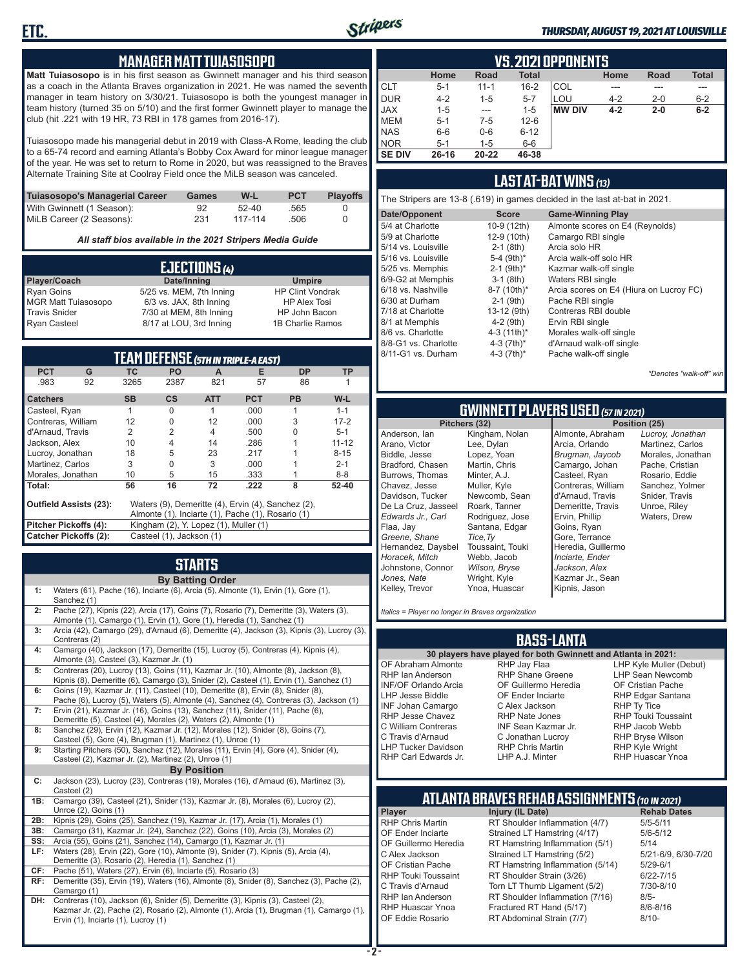

#### *THURSDAY, AUGUST 19, 2021 AT LOUISVILLE*

#### **MANAGER MATT TUIASOSOPO**

**Matt Tuiasosopo** is in his first season as Gwinnett manager and his third season as a coach in the Atlanta Braves organization in 2021. He was named the seventh manager in team history on 3/30/21. Tuiasosopo is both the youngest manager in team history (turned 35 on 5/10) and the first former Gwinnett player to manage the club (hit .221 with 19 HR, 73 RBI in 178 games from 2016-17).

Tuiasosopo made his managerial debut in 2019 with Class-A Rome, leading the club to a 65-74 record and earning Atlanta's Bobby Cox Award for minor league manager of the year. He was set to return to Rome in 2020, but was reassigned to the Braves Alternate Training Site at Coolray Field once the MiLB season was canceled.

| Tuiasosopo's Managerial Career | Games | W-L     | <b>PCT</b> | <b>Plavoffs</b> |
|--------------------------------|-------|---------|------------|-----------------|
| With Gwinnett (1 Season):      | 92    | $52-40$ | .565       |                 |
| MiLB Career (2 Seasons):       | 231   | 117-114 | .506       |                 |

*All staff bios available in the 2021 Stripers Media Guide*

| EJECTIONS (4)              |                          |                         |  |  |
|----------------------------|--------------------------|-------------------------|--|--|
| Player/Coach               | Date/Inning              | <b>Umpire</b>           |  |  |
| <b>Ryan Goins</b>          | 5/25 vs. MEM, 7th Inning | <b>HP Clint Vondrak</b> |  |  |
| <b>MGR Matt Tuiasosopo</b> | 6/3 vs. JAX, 8th Inning  | <b>HP Alex Tosi</b>     |  |  |
| <b>Travis Snider</b>       | 7/30 at MEM, 8th Inning  | HP John Bacon           |  |  |
| <b>Ryan Casteel</b>        | 8/17 at LOU, 3rd Inning  | 1B Charlie Ramos        |  |  |

| <b>TEAM DEFENSE (5TH IN TRIPLE-A EAST)</b>                                          |                                                       |                |                                       |            |            |           |           |
|-------------------------------------------------------------------------------------|-------------------------------------------------------|----------------|---------------------------------------|------------|------------|-----------|-----------|
| <b>PCT</b>                                                                          | G                                                     | ТC             | PO.                                   | A          | Е          | <b>DP</b> | <b>TP</b> |
| .983                                                                                | 92                                                    | 3265           | 2387                                  | 821        | 57         | 86        |           |
| <b>Catchers</b>                                                                     |                                                       | <b>SB</b>      | <b>CS</b>                             | <b>ATT</b> | <b>PCT</b> | <b>PB</b> | $W-L$     |
| Casteel, Ryan                                                                       |                                                       | 1              | O                                     | 1          | .000       | 1         | $1 - 1$   |
| Contreras, William                                                                  |                                                       | 12             | 0                                     | 12         | .000       | 3         | $17 - 2$  |
| d'Arnaud. Travis                                                                    |                                                       | $\mathfrak{p}$ | 2                                     | 4          | .500       |           | $5 - 1$   |
| Jackson, Alex                                                                       |                                                       | 10             | 4                                     | 14         | .286       |           | $11 - 12$ |
| Lucroy, Jonathan                                                                    |                                                       | 18             | 5                                     | 23         | .217       |           | $8 - 15$  |
| Martinez, Carlos                                                                    |                                                       | 3              | 0                                     | 3          | .000       |           | $2 - 1$   |
|                                                                                     | 5<br>Morales, Jonathan<br>10<br>15<br>.333<br>$8 - 8$ |                |                                       |            |            |           |           |
| Total:                                                                              |                                                       | 56             | 16                                    | 72         | .222       | 8         | $52 - 40$ |
| Waters (9), Demeritte (4), Ervin (4), Sanchez (2),<br><b>Outfield Assists (23):</b> |                                                       |                |                                       |            |            |           |           |
|                                                                                     | Almonte (1), Inciarte (1), Pache (1), Rosario (1)     |                |                                       |            |            |           |           |
| Pitcher Pickoffs (4):                                                               |                                                       |                | Kingham (2), Y. Lopez (1), Muller (1) |            |            |           |           |
| <b>Catcher Pickoffs (2):</b><br>Casteel (1), Jackson (1)                            |                                                       |                |                                       |            |            |           |           |

## **STARTS**

|     | <b>By Batting Order</b>                                                                                                                                                                                              |
|-----|----------------------------------------------------------------------------------------------------------------------------------------------------------------------------------------------------------------------|
| 1:  | Waters (61), Pache (16), Inciarte (6), Arcia (5), Almonte (1), Ervin (1), Gore (1),<br>Sanchez (1)                                                                                                                   |
| 2:  | Pache (27), Kipnis (22), Arcia (17), Goins (7), Rosario (7), Demeritte (3), Waters (3),<br>Almonte (1), Camargo (1), Ervin (1), Gore (1), Heredia (1), Sanchez (1)                                                   |
| 3:  | Arcia (42), Camargo (29), d'Arnaud (6), Demeritte (4), Jackson (3), Kipnis (3), Lucroy (3),<br>Contreras (2)                                                                                                         |
| 4:  | Camargo (40), Jackson (17), Demeritte (15), Lucroy (5), Contreras (4), Kipnis (4),<br>Almonte (3), Casteel (3), Kazmar Jr. (1)                                                                                       |
| 5:  | Contreras (20), Lucroy (13), Goins (11), Kazmar Jr. (10), Almonte (8), Jackson (8),<br>Kipnis (8), Demeritte (6), Camargo (3), Snider (2), Casteel (1), Ervin (1), Sanchez (1)                                       |
| 6:  | Goins (19), Kazmar Jr. (11), Casteel (10), Demeritte (8), Ervin (8), Snider (8),<br>Pache (6), Lucroy (5), Waters (5), Almonte (4), Sanchez (4), Contreras (3), Jackson (1)                                          |
| 7:  | Ervin (21), Kazmar Jr. (16), Goins (13), Sanchez (11), Snider (11), Pache (6),<br>Demeritte (5), Casteel (4), Morales (2), Waters (2), Almonte (1)                                                                   |
| 8:  | Sanchez (29), Ervin (12), Kazmar Jr. (12), Morales (12), Snider (8), Goins (7),<br>Casteel (5), Gore (4), Brugman (1), Martinez (1), Unroe (1)                                                                       |
| 9:  | Starting Pitchers (50), Sanchez (12), Morales (11), Ervin (4), Gore (4), Snider (4),<br>Casteel (2), Kazmar Jr. (2), Martinez (2), Unroe (1)                                                                         |
|     | <b>By Position</b>                                                                                                                                                                                                   |
| C:  | Jackson (23), Lucroy (23), Contreras (19), Morales (16), d'Arnaud (6), Martinez (3),<br>Casteel (2)                                                                                                                  |
| 1B: | Camargo (39), Casteel (21), Snider (13), Kazmar Jr. (8), Morales (6), Lucroy (2),<br>Unroe (2), Goins (1)                                                                                                            |
| 2B: | Kipnis (29), Goins (25), Sanchez (19), Kazmar Jr. (17), Arcia (1), Morales (1)                                                                                                                                       |
| 3B: | Camargo (31), Kazmar Jr. (24), Sanchez (22), Goins (10), Arcia (3), Morales (2)                                                                                                                                      |
| SS: | Arcia (55), Goins (21), Sanchez (14), Camargo (1), Kazmar Jr. (1)                                                                                                                                                    |
| LF: | Waters (28), Ervin (22), Gore (10), Almonte (9), Snider (7), Kipnis (5), Arcia (4),<br>Demeritte (3), Rosario (2), Heredia (1), Sanchez (1)                                                                          |
| CF: | Pache (51), Waters (27), Ervin (6), Inciarte (5), Rosario (3)                                                                                                                                                        |
| RF: | Demeritte (35), Ervin (19), Waters (16), Almonte (8), Snider (8), Sanchez (3), Pache (2),<br>Camargo (1)                                                                                                             |
| DH: | Contreras (10), Jackson (6), Snider (5), Demeritte (3), Kipnis (3), Casteel (2),<br>Kazmar Jr. (2), Pache (2), Rosario (2), Almonte (1), Arcia (1), Brugman (1), Camargo (1),<br>Ervin (1), Inciarte (1), Lucroy (1) |

|               | <b>VS.2021 OPPONENTS</b> |           |              |               |         |             |              |  |  |  |  |  |  |  |
|---------------|--------------------------|-----------|--------------|---------------|---------|-------------|--------------|--|--|--|--|--|--|--|
|               | Home                     | Road      | <b>Total</b> |               | Home    | <b>Road</b> | <b>Total</b> |  |  |  |  |  |  |  |
| <b>CLT</b>    | $5 - 1$                  | $11 - 1$  | $16 - 2$     | COL           | ---     |             | ---          |  |  |  |  |  |  |  |
| <b>DUR</b>    | $4 - 2$                  | $1 - 5$   | $5 - 7$      | LOU           | $4 - 2$ | $2 - 0$     | $6 - 2$      |  |  |  |  |  |  |  |
| <b>JAX</b>    | $1 - 5$                  | ---       | $1 - 5$      | <b>MW DIV</b> | $4 - 2$ | $2 - 0$     | $6-2$        |  |  |  |  |  |  |  |
| <b>IMEM</b>   | $5 - 1$                  | 7-5       | $12 - 6$     |               |         |             |              |  |  |  |  |  |  |  |
| <b>NAS</b>    | $6-6$                    | $0-6$     | $6 - 12$     |               |         |             |              |  |  |  |  |  |  |  |
| <b>NOR</b>    | $5 - 1$                  | $1 - 5$   | $6-6$        |               |         |             |              |  |  |  |  |  |  |  |
| <b>SE DIV</b> | 26-16                    | $20 - 22$ | 46-38        |               |         |             |              |  |  |  |  |  |  |  |

#### **LAST AT-BAT WINS** *(13)*

|                      |                          | The Stripers are 13-8 (.619) in games decided in the last at-bat in 2021. |
|----------------------|--------------------------|---------------------------------------------------------------------------|
| Date/Opponent        | <b>Score</b>             | <b>Game-Winning Play</b>                                                  |
| 5/4 at Charlotte     | 10-9 (12th)              | Almonte scores on E4 (Reynolds)                                           |
| 5/9 at Charlotte     | 12-9 (10th)              | Camargo RBI single                                                        |
| 5/14 vs. Louisville  | $2-1$ (8th)              | Arcia solo HR                                                             |
| 5/16 vs. Louisville  | 5-4 $(9th)*$             | Arcia walk-off solo HR                                                    |
| 5/25 vs. Memphis     | $2-1$ (9th) <sup>*</sup> | Kazmar walk-off single                                                    |
| 6/9-G2 at Memphis    | $3-1$ (8th)              | Waters RBI single                                                         |
| 6/18 vs. Nashville   | 8-7 (10th)*              | Arcia scores on E4 (Hiura on Lucroy FC)                                   |
| 6/30 at Durham       | $2-1$ (9th)              | Pache RBI single                                                          |
| 7/18 at Charlotte    | 13-12 (9th)              | Contreras RBI double                                                      |
| 8/1 at Memphis       | $4-2$ (9th)              | Ervin RBI single                                                          |
| 8/6 vs. Charlotte    | 4-3 $(11th)^*$           | Morales walk-off single                                                   |
| 8/8-G1 vs. Charlotte | 4-3 $(7th)^*$            | d'Arnaud walk-off single                                                  |
| 8/11-G1 vs. Durham   | 4-3 $(7th)^*$            | Pache walk-off single                                                     |
|                      |                          |                                                                           |

*\*Denotes "walk-off" win*

## **GWINNETT PLAYERS USED** *(57 IN 2021)*

**Pitchers (32)** Anderson, Ian Arano, Victor Biddle, Jesse Bradford, Chasen Burrows, Thomas Chavez, Jesse Davidson, Tucker De La Cruz, Jasseel *Edwards Jr., Carl* Flaa, Jay *Greene, Shane*  Hernandez, Daysbel *Horacek, Mitch* Johnstone, Connor *Jones, Nate* Kelley, Trevor Kingham, Nolan Lee, Dylan Lopez, Yoan Martin, Chris Minter, A.J. Muller, Kyle Newcomb, Sean Roark, Tanner Rodriguez, Jose Santana, Edgar *Tice,Ty* Toussaint, Touki Webb, Jacob *Wilson, Bryse* Wright, Kyle Ynoa, Huascar

Almonte, Abraham Arcia, Orlando *Brugman, Jaycob* Camargo, Johan Casteel, Ryan Contreras, William d'Arnaud, Travis Demeritte, Travis Ervin, Phillip Goins, Ryan Gore, Terrance Heredia, Guillermo *Inciarte, Ender Jackson, Alex* Kazmar Jr., Sean Kipnis, Jason

*Lucroy, Jonathan* Martinez, Carlos Morales, Jonathan Pache, Cristian Rosario, Eddie Sanchez, Yolmer Snider, Travis Unroe, Riley Waters, Drew

*Italics = Player no longer in Braves organization*

#### **BASS-LANTA**

OF Abraham Almonte RHP Ian Anderson INF/OF Orlando Arcia LHP Jesse Biddle INF Johan Camargo RHP Jesse Chavez C William Contreras C Travis d'Arnaud LHP Tucker Davidson RHP Carl Edwards Jr.

**30 players have played for both Gwinnett and Atlanta in 2021:** RHP Jay Flaa RHP Shane Greene OF Guillermo Heredia OF Ender Inciarte C Alex Jackson RHP Nate Jones INF Sean Kazmar Jr. C Jonathan Lucroy RHP Chris Martin LHP A.J. Minter

LHP Kyle Muller (Debut) LHP Sean Newcomb OF Cristian Pache RHP Edgar Santana RHP Ty Tice RHP Touki Toussaint RHP Jacob Webb RHP Bryse Wilson RHP Kyle Wright RHP Huascar Ynoa

## **ATLANTA BRAVES REHAB ASSIGNMENTS** *(10 IN 2021)*

**Player Injury (IL Date)** 

RHP Chris Martin RT Shoulder Inflammation (4/7) 5/5-5/11<br>OF Ender Inciarte Strained LT Hamstring (4/17) 5/6-5/12 OF Ender Inciarte Strained LT Hamstring (4/17)<br>OF Guillermo Heredia RT Hamstring Inflammation (5) RT Hamstring Inflammation (5/1) 5/14 C Alex Jackson Strained LT Hamstring (5/2) 5/21-6/9, 6/30-7/20 OF Cristian Pache RT Hamstring Inflammation (5/14) 5/29-6/1<br>RHP Touki Toussaint RT Shoulder Strain (3/26) 6/22-7/15 RHP Touki Toussaint RT Shoulder Strain (3/26) 6/22-7/15<br>C. Travis d'Arnaud C. Torn LT Thumb Ligament (5/2) 6/10-8/10 Torn LT Thumb Ligament (5/2) RHP Ian Anderson RT Shoulder Inflammation (7/16) 8/5-<br>RHP Huascar Ynoa Fractured RT Hand (5/17) 8/6-8/16 RHP Huascar Ynoa Fractured RT Hand (5/17)<br>OF Eddie Rosario RT Abdominal Strain (7/7) RT Abdominal Strain (7/7) 8/10-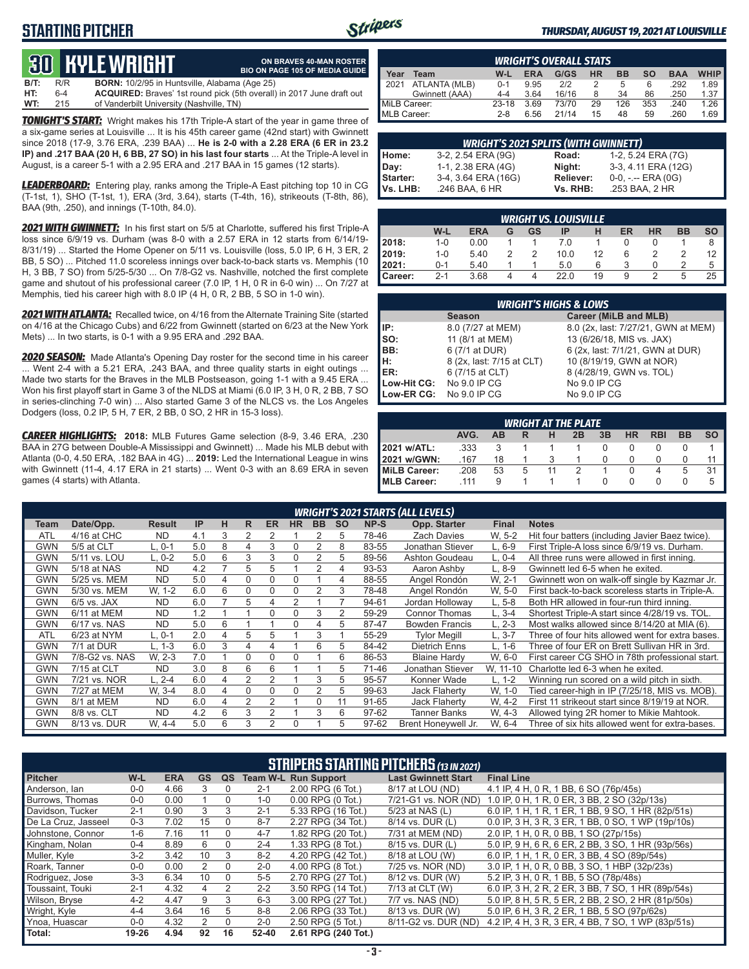### **STARTING PITCHER**



**ON BRAVES 40-MAN ROSTER**

#### *THURSDAY, AUGUST 19, 2021 AT LOUISVILLE*

## **30****KYLE WRIGHT**

|         |       | www.communication.com                                | <b>BIO ON PAGE 105 OF MEDIA GUIDE</b>                                        |
|---------|-------|------------------------------------------------------|------------------------------------------------------------------------------|
| $B/T$ : | R/R   | <b>BORN:</b> 10/2/95 in Huntsville, Alabama (Age 25) |                                                                              |
| HT:     | $6-4$ |                                                      | <b>ACQUIRED:</b> Braves' 1st round pick (5th overall) in 2017 June draft out |
| WT:     | 215   | of Vanderbilt University (Nashville, TN)             |                                                                              |

*TONIGHT'S START:* Wright makes his 17th Triple-A start of the year in game three of a six-game series at Louisville ... It is his 45th career game (42nd start) with Gwinnett since 2018 (17-9, 3.76 ERA, .239 BAA) ... **He is 2-0 with a 2.28 ERA (6 ER in 23.2 IP) and .217 BAA (20 H, 6 BB, 27 SO) in his last four starts** ... At the Triple-A level in August, is a career 5-1 with a 2.95 ERA and .217 BAA in 15 games (12 starts).

*LEADERBOARD:* Entering play, ranks among the Triple-A East pitching top 10 in CG (T-1st, 1), SHO (T-1st, 1), ERA (3rd, 3.64), starts (T-4th, 16), strikeouts (T-8th, 86), BAA (9th, .250), and innings (T-10th, 84.0).

*2021 WITH GWINNETT:* In his first start on 5/5 at Charlotte, suffered his first Triple-A loss since 6/9/19 vs. Durham (was 8-0 with a 2.57 ERA in 12 starts from 6/14/19- 8/31/19) ... Started the Home Opener on 5/11 vs. Louisville (loss, 5.0 IP, 6 H, 3 ER, 2 BB, 5 SO) ... Pitched 11.0 scoreless innings over back-to-back starts vs. Memphis (10 H, 3 BB, 7 SO) from 5/25-5/30 ... On 7/8-G2 vs. Nashville, notched the first complete game and shutout of his professional career (7.0 IP, 1 H, 0 R in 6-0 win) ... On 7/27 at Memphis, tied his career high with 8.0 IP (4 H, 0 R, 2 BB, 5 SO in 1-0 win).

*2021 WITH ATLANTA:* Recalled twice, on 4/16 from the Alternate Training Site (started on 4/16 at the Chicago Cubs) and 6/22 from Gwinnett (started on 6/23 at the New York Mets) ... In two starts, is 0-1 with a 9.95 ERA and .292 BAA.

*2020 SEASON:* Made Atlanta's Opening Day roster for the second time in his career ... Went 2-4 with a 5.21 ERA, .243 BAA, and three quality starts in eight outings ... Made two starts for the Braves in the MLB Postseason, going 1-1 with a 9.45 ERA ... Won his first playoff start in Game 3 of the NLDS at Miami (6.0 IP, 3 H, 0 R, 2 BB, 7 SO in series-clinching 7-0 win) ... Also started Game 3 of the NLCS vs. the Los Angeles Dodgers (loss, 0.2 IP, 5 H, 7 ER, 2 BB, 0 SO, 2 HR in 15-3 loss).

*CAREER HIGHLIGHTS:* **2018:** MLB Futures Game selection (8-9, 3.46 ERA, .230 BAA in 27G between Double-A Mississippi and Gwinnett) ... Made his MLB debut with Atlanta (0-0, 4.50 ERA, .182 BAA in 4G) ... **2019:** Led the International League in wins with Gwinnett (11-4, 4.17 ERA in 21 starts) ... Went 0-3 with an 8.69 ERA in seven games (4 starts) with Atlanta.

|              | <b>WRIGHT'S OVERALL STATS</b> |         |            |       |    |           |     |            |             |  |  |  |  |  |
|--------------|-------------------------------|---------|------------|-------|----|-----------|-----|------------|-------------|--|--|--|--|--|
| Year         | Team                          | W-L     | <b>ERA</b> | G/GS  | HR | <b>BB</b> | so  | <b>BAA</b> | <b>WHIP</b> |  |  |  |  |  |
| 2021         | ATLANTA (MLB)                 | $0 - 1$ | 9.95       | 212   |    | 5         | 6   | .292       | 1.89        |  |  |  |  |  |
|              | Gwinnett (AAA)                | $4 - 4$ | 3.64       | 16/16 | 8  | 34        | 86  | .250       | 1.37        |  |  |  |  |  |
| MiLB Career: |                               | 23-18   | 3.69       | 73/70 | 29 | 126       | 353 | .240       | 1.26        |  |  |  |  |  |
| MLB Career:  |                               | $2 - 8$ | 6.56       | 21/14 | 15 | 48        | 59  | .260       | 1.69        |  |  |  |  |  |

|          | <b>WRIGHT'S 2021 SPLITS (WITH GWINNETT)</b> |           |                       |  |  |  |  |  |  |  |
|----------|---------------------------------------------|-----------|-----------------------|--|--|--|--|--|--|--|
| Home:    | 3-2, 2.54 ERA (9G)                          | Road:     | 1-2, 5.24 ERA (7G)    |  |  |  |  |  |  |  |
| Day:     | 1-1, 2.38 ERA (4G)                          | Night:    | 3-3, 4.11 ERA (12G)   |  |  |  |  |  |  |  |
| Starter: | 3-4, 3.64 ERA (16G)                         | Reliever: | $0-0, - -$ ERA $(0G)$ |  |  |  |  |  |  |  |
| Vs. LHB: | .246 BAA, 6 HR                              | Vs. RHB:  | .253 BAA, 2 HR        |  |  |  |  |  |  |  |

|         | <b>WRIGHT VS. LOUISVILLE</b>                                                  |      |   |               |      |    |   |   |   |    |  |  |  |  |
|---------|-------------------------------------------------------------------------------|------|---|---------------|------|----|---|---|---|----|--|--|--|--|
|         | W-L<br>ER<br><b>HR</b><br><b>SO</b><br><b>BB</b><br>ERA<br>GS<br>IP<br>н<br>G |      |   |               |      |    |   |   |   |    |  |  |  |  |
| 2018:   | $1 - 0$                                                                       | 0.00 |   |               | 7.0  |    |   |   |   | 8  |  |  |  |  |
| 2019:   | $1 - 0$                                                                       | 5.40 | っ | $\mathcal{P}$ | 10.0 | 12 | 6 |   |   | 12 |  |  |  |  |
| 2021:   | $0 - 1$                                                                       | 5.40 |   |               | 5.0  | 6  |   |   |   | 5  |  |  |  |  |
| Career: | $2 - 1$                                                                       | 3.68 | 4 | 4             | 22.0 | 19 | 9 | っ | 5 | 25 |  |  |  |  |

|             | <b>WRIGHT'S HIGHS &amp; LOWS</b> |                                     |  |  |  |  |  |  |  |  |  |  |
|-------------|----------------------------------|-------------------------------------|--|--|--|--|--|--|--|--|--|--|
|             | <b>Season</b>                    | Career (MiLB and MLB)               |  |  |  |  |  |  |  |  |  |  |
| IP:         | 8.0 (7/27 at MEM)                | 8.0 (2x, last: 7/27/21, GWN at MEM) |  |  |  |  |  |  |  |  |  |  |
| so:         | 11 (8/1 at MEM)                  | 13 (6/26/18, MIS vs. JAX)           |  |  |  |  |  |  |  |  |  |  |
| BB:         | 6 (7/1 at DUR)                   | 6 (2x, last: 7/1/21, GWN at DUR)    |  |  |  |  |  |  |  |  |  |  |
| H:          | 8 (2x, last: 7/15 at CLT)        | 10 (8/19/19, GWN at NOR)            |  |  |  |  |  |  |  |  |  |  |
| <b>IER:</b> | 6 (7/15 at CLT)                  | 8 (4/28/19, GWN vs. TOL)            |  |  |  |  |  |  |  |  |  |  |
| Low-Hit CG: | No 9.0 IP CG                     | No 9.0 IP CG                        |  |  |  |  |  |  |  |  |  |  |
| Low-ER CG:  | No 9.0 IP CG                     | No 9.0 IP CG                        |  |  |  |  |  |  |  |  |  |  |

| <b>WRIGHT AT THE PLATE</b>                                                |      |    |   |  |  |  |  |   |   |    |  |  |  |
|---------------------------------------------------------------------------|------|----|---|--|--|--|--|---|---|----|--|--|--|
| 3B<br>AVG.<br><b>RBI</b><br><b>BB</b><br><b>HR</b><br>SΟ<br>2B<br>AВ<br>н |      |    |   |  |  |  |  |   |   |    |  |  |  |
| 2021 w/ATL:                                                               | .333 |    |   |  |  |  |  |   |   |    |  |  |  |
| <b>2021 w/GWN:</b>                                                        | .167 | 18 |   |  |  |  |  |   |   | 11 |  |  |  |
| <b>IMILB Career:</b>                                                      | .208 | 53 | 5 |  |  |  |  | 4 | 5 | 31 |  |  |  |
| MLB Career:                                                               | .111 | 9  |   |  |  |  |  |   |   | 5  |  |  |  |

|            |                |               |     |   |          |                |             |                |           |       | <b>WRIGHT'S 2021 STARTS (ALL LEVELS)</b> |              |                                                  |
|------------|----------------|---------------|-----|---|----------|----------------|-------------|----------------|-----------|-------|------------------------------------------|--------------|--------------------------------------------------|
| Team       | Date/Opp.      | <b>Result</b> | IP  | н | R        | <b>ER</b>      | <b>HR</b>   | <b>BB</b>      | <b>SO</b> | NP-S  | Opp. Starter                             | <b>Final</b> | <b>Notes</b>                                     |
| <b>ATL</b> | 4/16 at CHC    | <b>ND</b>     | 4.1 | 3 | 2        | 2              |             | 2              | 5         | 78-46 | <b>Zach Davies</b>                       | W. 5-2       | Hit four batters (including Javier Baez twice).  |
| GWN        | 5/5 at CLT     | L, 0-1        | 5.0 | 8 | 4        | 3              | $\Omega$    | 2              | 8         | 83-55 | Jonathan Stiever                         | L. 6-9       | First Triple-A loss since 6/9/19 vs. Durham.     |
| GWN        | 5/11 vs. LOU   | $L. 0-2$      | 5.0 | 6 | 3        | 3              | $\Omega$    | $\overline{2}$ | 5         | 89-56 | Ashton Goudeau                           | L. 0-4       | All three runs were allowed in first inning.     |
| <b>GWN</b> | 5/18 at NAS    | <b>ND</b>     | 4.2 |   | 5        | 5              |             | 2              | 4         | 93-53 | Aaron Ashby                              | L. 8-9       | Gwinnett led 6-5 when he exited.                 |
| <b>GWN</b> | 5/25 vs. MEM   | <b>ND</b>     | 5.0 | 4 | $\Omega$ | $\Omega$       | $\Omega$    |                | 4         | 88-55 | Angel Rondón                             | W. 2-1       | Gwinnett won on walk-off single by Kazmar Jr.    |
| <b>GWN</b> | 5/30 vs. MEM   | W. 1-2        | 6.0 | 6 | $\Omega$ | $\Omega$       | $\Omega$    | $\overline{2}$ | 3         | 78-48 | Angel Rondón                             | W. 5-0       | First back-to-back scoreless starts in Triple-A. |
| GWN        | $6/5$ vs. JAX  | <b>ND</b>     | 6.0 |   | 5        | 4              | 2           |                |           | 94-61 | Jordan Holloway                          | L. 5-8       | Both HR allowed in four-run third inning.        |
| <b>GWN</b> | 6/11 at MEM    | <b>ND</b>     | 1.2 |   |          | $\Omega$       | $\Omega$    | 3              | 2         | 59-29 | <b>Connor Thomas</b>                     | $L.3-4$      | Shortest Triple-A start since 4/28/19 vs. TOL.   |
| <b>GWN</b> | 6/17 vs. NAS   | <b>ND</b>     | 5.0 | 6 |          |                | $\mathbf 0$ | 4              | 5         | 87-47 | <b>Bowden Francis</b>                    | $L, 2-3$     | Most walks allowed since 8/14/20 at MIA (6).     |
| <b>ATL</b> | 6/23 at NYM    | $L, 0-1$      | 2.0 | 4 | 5        | 5              |             | 3              |           | 55-29 | <b>Tylor Megill</b>                      | $L, 3-7$     | Three of four hits allowed went for extra bases. |
| <b>GWN</b> | 7/1 at DUR     | L. 1-3        | 6.0 | 3 | 4        | 4              |             | 6              | 5         | 84-42 | <b>Dietrich Enns</b>                     | $L. 1-6$     | Three of four ER on Brett Sullivan HR in 3rd.    |
| <b>GWN</b> | 7/8-G2 vs. NAS | W. 2-3        | 7.0 |   | $\Omega$ | $\Omega$       | $\Omega$    |                | 6         | 86-53 | <b>Blaine Hardy</b>                      | W. 6-0       | First career CG SHO in 78th professional start.  |
| <b>GWN</b> | 7/15 at CLT    | <b>ND</b>     | 3.0 | 8 | 6        | 6              |             |                | 5         | 71-46 | Jonathan Stiever                         | W. 11-10     | Charlotte led 6-3 when he exited.                |
| <b>GWN</b> | 7/21 vs. NOR   | L. 2-4        | 6.0 | 4 | 2        | $\overline{2}$ |             | 3              | 5         | 95-57 | Konner Wade                              | $L. 1-2$     | Winning run scored on a wild pitch in sixth.     |
| <b>GWN</b> | 7/27 at MEM    | W. 3-4        | 8.0 | 4 | $\Omega$ | $\Omega$       | $\Omega$    | 2              | 5         | 99-63 | <b>Jack Flaherty</b>                     | W. 1-0       | Tied career-high in IP (7/25/18, MIS vs. MOB).   |
| GWN        | 8/1 at MEM     | <b>ND</b>     | 6.0 | 4 | 2        | 2              |             |                | 11        | 91-65 | <b>Jack Flaherty</b>                     | W. 4-2       | First 11 strikeout start since 8/19/19 at NOR.   |
| <b>GWN</b> | 8/8 vs. CLT    | <b>ND</b>     | 4.2 | 6 | 3        | 2              |             | 3              | 6         | 97-62 | Tanner Banks                             | W. 4-3       | Allowed tying 2R homer to Mikie Mahtook.         |
| <b>GWN</b> | 8/13 vs. DUR   | W. 4-4        | 5.0 | 6 | 3        | 2              | $\Omega$    |                | 5         | 97-62 | Brent Honeywell Jr.                      | W. 6-4       | Three of six hits allowed went for extra-bases.  |

|                     | <b>STRIPERS STARTING PITCHERS (13 IN 2021)</b> |            |                |          |           |                             |                            |                                                    |  |  |  |  |  |
|---------------------|------------------------------------------------|------------|----------------|----------|-----------|-----------------------------|----------------------------|----------------------------------------------------|--|--|--|--|--|
| <b>Pitcher</b>      | W-L                                            | <b>ERA</b> | <b>GS</b>      | QS       |           | <b>Team W-L Run Support</b> | <b>Last Gwinnett Start</b> | <b>Final Line</b>                                  |  |  |  |  |  |
| Anderson, lan       | $0 - 0$                                        | 4.66       | 3              | $\Omega$ | $2 - 1$   | 2.00 RPG (6 Tot.)           | 8/17 at LOU (ND)           | 4.1 IP, 4 H, 0 R, 1 BB, 6 SO (76p/45s)             |  |  |  |  |  |
| Burrows. Thomas     | $0-0$                                          | 0.00       |                | 0        | $1 - 0$   | $0.00$ RPG $(0$ Tot.)       | 7/21-G1 vs. NOR (ND)       | 1.0 IP, 0 H, 1 R, 0 ER, 3 BB, 2 SO (32p/13s)       |  |  |  |  |  |
| Davidson, Tucker    | $2 - 1$                                        | 0.90       | 3              | 3        | $2 - 1$   | 5.33 RPG (16 Tot.)          | 5/23 at NAS (L)            | 6.0 IP, 1 H, 1 R, 1 ER, 1 BB, 9 SO, 1 HR (82p/51s) |  |  |  |  |  |
| De La Cruz. Jasseel | $0 - 3$                                        | 7.02       | 15             | $\Omega$ | $8 - 7$   | 2.27 RPG (34 Tot.)          | 8/14 vs. DUR (L)           | 0.0 IP, 3 H, 3 R, 3 ER, 1 BB, 0 SO, 1 WP (19p/10s) |  |  |  |  |  |
| Johnstone, Connor   | $1 - 6$                                        | 7.16       | 11             | $\Omega$ | $4 - 7$   | 1.82 RPG (20 Tot.)          | 7/31 at MEM (ND)           | 2.0 IP, 1 H, 0 R, 0 BB, 1 SO (27p/15s)             |  |  |  |  |  |
| Kingham, Nolan      | $0 - 4$                                        | 8.89       | 6              | $\Omega$ | $2 - 4$   | 1.33 RPG (8 Tot.)           | 8/15 vs. DUR (L)           | 5.0 IP, 9 H, 6 R, 6 ER, 2 BB, 3 SO, 1 HR (93p/56s) |  |  |  |  |  |
| Muller, Kyle        | $3-2$                                          | 3.42       | 10             | 3        | $8 - 2$   | 4.20 RPG (42 Tot.)          | 8/18 at LOU (W)            | 6.0 IP, 1 H, 1 R, 0 ER, 3 BB, 4 SO (89p/54s)       |  |  |  |  |  |
| Roark, Tanner       | $0-0$                                          | 0.00       | 2              | $\Omega$ | $2 - 0$   | 4.00 RPG (8 Tot.)           | 7/25 vs. NOR (ND)          | 3.0 IP, 1 H, 0 R, 0 BB, 3 SO, 1 HBP (32p/23s)      |  |  |  |  |  |
| Rodriguez, Jose     | $3-3$                                          | 6.34       | 10             | $\Omega$ | $5 - 5$   | 2.70 RPG (27 Tot.)          | 8/12 vs. DUR (W)           | 5.2 IP, 3 H, 0 R, 1 BB, 5 SO (78p/48s)             |  |  |  |  |  |
| Toussaint. Touki    | $2 - 1$                                        | 4.32       | 4              | 2        | $2 - 2$   | 3.50 RPG (14 Tot.)          | 7/13 at CLT (W)            | 6.0 IP, 3 H, 2 R, 2 ER, 3 BB, 7 SO, 1 HR (89p/54s) |  |  |  |  |  |
| Wilson, Bryse       | $4 - 2$                                        | 4.47       | 9              | 3        | $6 - 3$   | 3.00 RPG (27 Tot.)          | 7/7 vs. NAS (ND)           | 5.0 IP, 8 H, 5 R, 5 ER, 2 BB, 2 SO, 2 HR (81p/50s) |  |  |  |  |  |
| Wright, Kyle        | $4 - 4$                                        | 3.64       | 16             | 5        | $8 - 8$   | 2.06 RPG (33 Tot.)          | 8/13 vs. DUR (W)           | 5.0 IP, 6 H, 3 R, 2 ER, 1 BB, 5 SO (97p/62s)       |  |  |  |  |  |
| Ynoa, Huascar       | $0-0$                                          | 4.32       | $\overline{2}$ | $\Omega$ | $2 - 0$   | 2.50 RPG (5 Tot.)           | 8/11-G2 vs. DUR (ND)       | 4.2 IP, 4 H, 3 R, 3 ER, 4 BB, 7 SO, 1 WP (83p/51s) |  |  |  |  |  |
| Total:              | 19-26                                          | 4.94       | 92             | 16       | $52 - 40$ | 2.61 RPG (240 Tot.)         |                            |                                                    |  |  |  |  |  |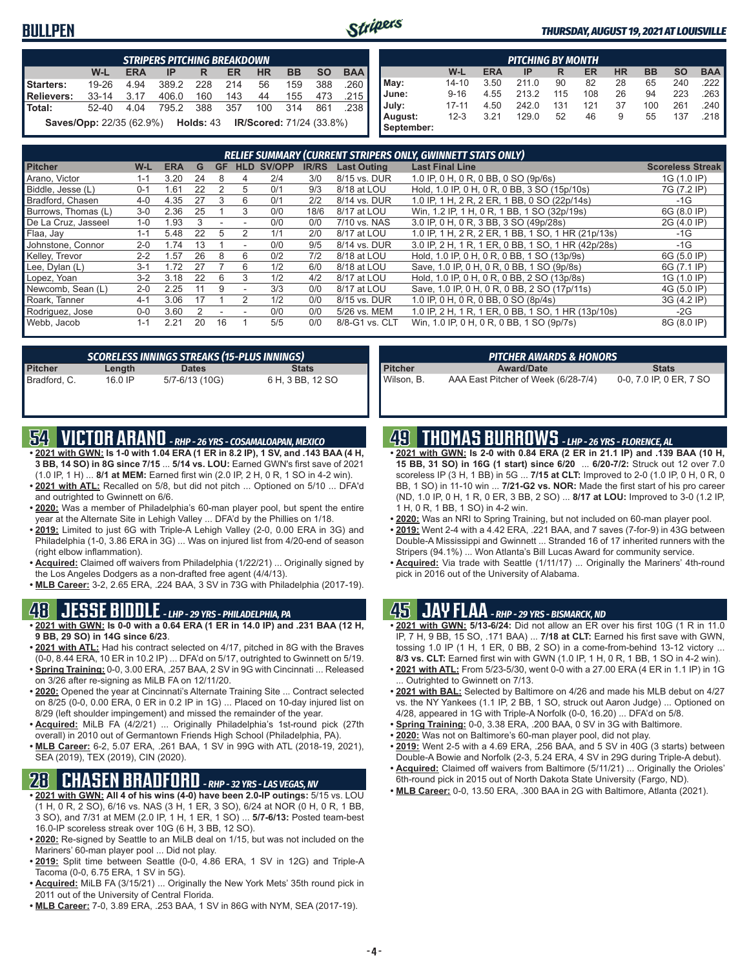#### **BULLPEN**



#### *THURSDAY, AUGUST 19, 2021 AT LOUISVILLE*

|                                                                                                | <b>STRIPERS PITCHING BREAKDOWN</b>                                                  |      |       |       |     |     |         |     |      |  |  |  |  |  |
|------------------------------------------------------------------------------------------------|-------------------------------------------------------------------------------------|------|-------|-------|-----|-----|---------|-----|------|--|--|--|--|--|
| <b>BAA</b><br><b>SO</b><br><b>BB</b><br>W-L<br><b>HR</b><br><b>ERA</b><br><b>ER</b><br>IP<br>R |                                                                                     |      |       |       |     |     |         |     |      |  |  |  |  |  |
| Starters:                                                                                      | 19-26                                                                               | 4.94 | 389.2 | - 228 | 214 | 56  | 159     | 388 | .260 |  |  |  |  |  |
| Relievers:                                                                                     | 33-14 3.17                                                                          |      | 406.0 | 160   | 143 | 44  | 155 473 |     | .215 |  |  |  |  |  |
| l Total:                                                                                       | 52-40                                                                               | 4.04 | 795.2 | - 388 | 357 | 100 | - 314   | 861 | .238 |  |  |  |  |  |
|                                                                                                | <b>IR/Scored:</b> 71/24 (33.8%)<br><b>Saves/Opp:</b> 22/35 (62.9%) <b>Holds:</b> 43 |      |       |       |     |     |         |     |      |  |  |  |  |  |

|                       | <b>PITCHING BY MONTH</b> |            |       |     |           |           |           |           |            |  |  |
|-----------------------|--------------------------|------------|-------|-----|-----------|-----------|-----------|-----------|------------|--|--|
|                       | W-L                      | <b>ERA</b> | IP    | R   | <b>ER</b> | <b>HR</b> | <b>BB</b> | <b>SO</b> | <b>BAA</b> |  |  |
| May:                  | 14-10                    | 3.50       | 211.0 | 90  | 82        | 28        | 65        | 240       | .222       |  |  |
| June:                 | $9 - 16$                 | 4.55       | 213.2 | 115 | 108       | 26        | 94        | 223       | 263        |  |  |
| July:                 | $17 - 11$                | 4.50       | 242.0 | 131 | 121       | 37        | 100       | 261       | .240       |  |  |
| August:<br>September: | $12 - 3$                 | 3.21       | 129.0 | 52  | 46        | 9         | 55        | 137       | .218       |  |  |

|                     |         |            |    |           |            |        |              |                    | <b>RELIEF SUMMARY (CURRENT STRIPERS ONLY, GWINNETT STATS ONLY)</b> |                         |
|---------------------|---------|------------|----|-----------|------------|--------|--------------|--------------------|--------------------------------------------------------------------|-------------------------|
| <b>Pitcher</b>      | W-L     | <b>ERA</b> | G  | <b>GF</b> | <b>HLD</b> | SV/OPP | <b>IR/RS</b> | <b>Last Outing</b> | <b>Last Final Line</b>                                             | <b>Scoreless Streak</b> |
| Arano, Victor       | $1 - 1$ | 3.20       | 24 | 8         |            | 2/4    | 3/0          | 8/15 vs. DUR       | 1.0 IP, 0 H, 0 R, 0 BB, 0 SO (9p/6s)                               | 1G (1.0 IP)             |
| Biddle, Jesse (L)   | $0 - 1$ | .61        | 22 |           | 5          | 0/1    | 9/3          | 8/18 at LOU        | Hold, 1.0 IP, 0 H, 0 R, 0 BB, 3 SO (15p/10s)                       | 7G (7.2 IP)             |
| Bradford, Chasen    | 4-0     | 4.35       | 27 | 3         | 6          | 0/1    | 2/2          | 8/14 vs. DUR       | 1.0 IP, 1 H, 2 R, 2 ER, 1 BB, 0 SO (22p/14s)                       | -1G                     |
| Burrows, Thomas (L) | $3-0$   | 2.36       | 25 |           | 3          | 0/0    | 18/6         | 8/17 at LOU        | Win, 1.2 IP, 1 H, 0 R, 1 BB, 1 SO (32p/19s)                        | 6G (8.0 IP)             |
| De La Cruz, Jasseel | $1-0$   | .93        |    |           |            | 0/0    | 0/0          | 7/10 vs. NAS       | 3.0 IP, 0 H, 0 R, 3 BB, 3 SO (49p/28s)                             | 2G (4.0 IP)             |
| Flaa, Jav           | $1 - 1$ | 5.48       | 22 | 5         |            | 1/1    | 2/0          | 8/17 at LOU        | 1.0 IP, 1 H, 2 R, 2 ER, 1 BB, 1 SO, 1 HR (21p/13s)                 | $-1G$                   |
| Johnstone, Connor   | $2 - 0$ | .74        | 13 |           |            | 0/0    | 9/5          | 8/14 vs. DUR       | 3.0 IP, 2 H, 1 R, 1 ER, 0 BB, 1 SO, 1 HR (42p/28s)                 | $-1G$                   |
| Kelley, Trevor      | $2 - 2$ | .57        | 26 | 8         | 6          | 0/2    | 7/2          | 8/18 at LOU        | Hold, 1.0 IP, 0 H, 0 R, 0 BB, 1 SO (13p/9s)                        | 6G (5.0 IP)             |
| Lee, Dylan (L)      | $3-1$   | .72        |    |           | 6          | 1/2    | 6/0          | 8/18 at LOU        | Save, 1.0 IP, 0 H, 0 R, 0 BB, 1 SO (9p/8s)                         | 6G (7.1 IP)             |
| Lopez, Yoan         | $3-2$   | 3.18       | 22 | 6         |            | 1/2    | 4/2          | 8/17 at LOU        | Hold, 1.0 IP, 0 H, 0 R, 0 BB, 2 SO (13p/8s)                        | 1G (1.0 IP)             |
| Newcomb, Sean (L)   | $2 - 0$ | 2.25       |    | 9         |            | 3/3    | 0/0          | 8/17 at LOU        | Save, 1.0 IP, 0 H, 0 R, 0 BB, 2 SO (17p/11s)                       | 4G (5.0 IP)             |
| Roark, Tanner       | $4 - 1$ | 3.06       |    |           |            | 1/2    | 0/0          | 8/15 vs. DUR       | 1.0 IP, 0 H, 0 R, 0 BB, 0 SO (8p/4s)                               | 3G (4.2 IP)             |
| Rodriguez, Jose     | $0 - 0$ | 3.60       |    |           |            | 0/0    | 0/0          | 5/26 vs. MEM       | 1.0 IP, 2 H, 1 R, 1 ER, 0 BB, 1 SO, 1 HR (13p/10s)                 | $-2G$                   |
| Webb, Jacob         | $1 - 1$ | 2.21       | 20 | 16        |            | 5/5    | 0/0          | 8/8-G1 vs. CLT     | Win, 1.0 IP, 0 H, 0 R, 0 BB, 1 SO (9p/7s)                          | 8G (8.0 IP)             |

| SCORELESS INNINGS STREAKS (15-PLUS INNINGS) |         |                |                  |  |  |  |  |  |  |
|---------------------------------------------|---------|----------------|------------------|--|--|--|--|--|--|
| Pitcher<br>Bradford, C.                     | Length  | <b>Dates</b>   | <b>Stats</b>     |  |  |  |  |  |  |
|                                             | 16.0 IP | 5/7-6/13 (10G) | 6 H, 3 BB, 12 SO |  |  |  |  |  |  |

|  | <b>S4 VICTOR ARANO</b> - RHP - 26 YRS - COSAMALOAPAN, MEXICO |
|--|--------------------------------------------------------------|
|--|--------------------------------------------------------------|

- **• 2021 with GWN: Is 1-0 with 1.04 ERA (1 ER in 8.2 IP), 1 SV, and .143 BAA (4 H, 3 BB, 14 SO) in 8G since 7/15** ... **5/14 vs. LOU:** Earned GWN's first save of 2021 (1.0 IP, 1 H) ... **8/1 at MEM:** Earned first win (2.0 IP, 2 H, 0 R, 1 SO in 4-2 win).
- **• 2021 with ATL:** Recalled on 5/8, but did not pitch ... Optioned on 5/10 ... DFA'd and outrighted to Gwinnett on 6/6.
- **• 2020:** Was a member of Philadelphia's 60-man player pool, but spent the entire year at the Alternate Site in Lehigh Valley ... DFA'd by the Phillies on 1/18.
- **• 2019:** Limited to just 6G with Triple-A Lehigh Valley (2-0, 0.00 ERA in 3G) and Philadelphia (1-0, 3.86 ERA in 3G) ... Was on injured list from 4/20-end of season (right elbow inflammation).
- **• Acquired:** Claimed off waivers from Philadelphia (1/22/21) ... Originally signed by the Los Angeles Dodgers as a non-drafted free agent (4/4/13).
- **• MLB Career:** 3-2, 2.65 ERA, .224 BAA, 3 SV in 73G with Philadelphia (2017-19).

#### **48 JESSE BIDDLE** *- LHP - 29 YRS - PHILADELPHIA, PA*

- **• 2021 with GWN: Is 0-0 with a 0.64 ERA (1 ER in 14.0 IP) and .231 BAA (12 H, 9 BB, 29 SO) in 14G since 6/23**.
- **• 2021 with ATL:** Had his contract selected on 4/17, pitched in 8G with the Braves (0-0, 8.44 ERA, 10 ER in 10.2 IP) ... DFA'd on 5/17, outrighted to Gwinnett on 5/19.
- **• Spring Training:** 0-0, 3.00 ERA, .257 BAA, 2 SV in 9G with Cincinnati ... Released on 3/26 after re-signing as MiLB FA on 12/11/20.
- **• 2020:** Opened the year at Cincinnati's Alternate Training Site ... Contract selected on 8/25 (0-0, 0.00 ERA, 0 ER in 0.2 IP in 1G) ... Placed on 10-day injured list on 8/29 (left shoulder impingement) and missed the remainder of the year.
- **• Acquired:** MiLB FA (4/2/21) ... Originally Philadelphia's 1st-round pick (27th overall) in 2010 out of Germantown Friends High School (Philadelphia, PA).
- **• MLB Career:** 6-2, 5.07 ERA, .261 BAA, 1 SV in 99G with ATL (2018-19, 2021), SEA (2019), TEX (2019), CIN (2020).

### **28 CHASEN BRADFORD** *- RHP - 32 YRS - LAS VEGAS, NV*

- **• 2021 with GWN: All 4 of his wins (4-0) have been 2.0-IP outings:** 5/15 vs. LOU (1 H, 0 R, 2 SO), 6/16 vs. NAS (3 H, 1 ER, 3 SO), 6/24 at NOR (0 H, 0 R, 1 BB, 3 SO), and 7/31 at MEM (2.0 IP, 1 H, 1 ER, 1 SO) ... **5/7-6/13:** Posted team-best 16.0-IP scoreless streak over 10G (6 H, 3 BB, 12 SO).
- **• 2020:** Re-signed by Seattle to an MiLB deal on 1/15, but was not included on the Mariners' 60-man player pool ... Did not play.
- **• 2019:** Split time between Seattle (0-0, 4.86 ERA, 1 SV in 12G) and Triple-A Tacoma (0-0, 6.75 ERA, 1 SV in 5G).
- **• Acquired:** MiLB FA (3/15/21) ... Originally the New York Mets' 35th round pick in 2011 out of the University of Central Florida.
- **• MLB Career:** 7-0, 3.89 ERA, .253 BAA, 1 SV in 86G with NYM, SEA (2017-19).

|  | 49 THOMAS BURROWS - LHP - 26 YRS - FLORENCE, AL |
|--|-------------------------------------------------|
|--|-------------------------------------------------|

**Pitcher Award/Date Stats** Wilson, B. AAA East Pitcher of Week (6/28-7/4) 0-0, 7.0 IP, 0 ER, 7 SO

**• 2021 with GWN: Is 2-0 with 0.84 ERA (2 ER in 21.1 IP) and .139 BAA (10 H, 15 BB, 31 SO) in 16G (1 start) since 6/20** ... **6/20-7/2:** Struck out 12 over 7.0 scoreless IP (3 H, 1 BB) in 5G ... **7/15 at CLT:** Improved to 2-0 (1.0 IP, 0 H, 0 R, 0 BB, 1 SO) in 11-10 win ... **7/21-G2 vs. NOR:** Made the first start of his pro career (ND, 1.0 IP, 0 H, 1 R, 0 ER, 3 BB, 2 SO) ... **8/17 at LOU:** Improved to 3-0 (1.2 IP, 1 H, 0 R, 1 BB, 1 SO) in 4-2 win.

*PITCHER AWARDS & HONORS*

- **• 2020:** Was an NRI to Spring Training, but not included on 60-man player pool.
- **• 2019:** Went 2-4 with a 4.42 ERA, .221 BAA, and 7 saves (7-for-9) in 43G between Double-A Mississippi and Gwinnett ... Stranded 16 of 17 inherited runners with the Stripers (94.1%) ... Won Atlanta's Bill Lucas Award for community service.
- **• Acquired:** Via trade with Seattle (1/11/17) ... Originally the Mariners' 4th-round pick in 2016 out of the University of Alabama.

#### **45 JAY FLAA** *- RHP - 29 YRS - BISMARCK, ND*

- **• 2021 with GWN: 5/13-6/24:** Did not allow an ER over his first 10G (1 R in 11.0 IP, 7 H, 9 BB, 15 SO, .171 BAA) ... **7/18 at CLT:** Earned his first save with GWN, tossing 1.0 IP (1 H, 1 ER, 0 BB, 2 SO) in a come-from-behind 13-12 victory ... **8/3 vs. CLT:** Earned first win with GWN (1.0 IP, 1 H, 0 R, 1 BB, 1 SO in 4-2 win).
- **• 2021 with ATL:** From 5/23-5/30, went 0-0 with a 27.00 ERA (4 ER in 1.1 IP) in 1G Outrighted to Gwinnett on 7/13.
- **• 2021 with BAL:** Selected by Baltimore on 4/26 and made his MLB debut on 4/27 vs. the NY Yankees (1.1 IP, 2 BB, 1 SO, struck out Aaron Judge) ... Optioned on 4/28, appeared in 1G with Triple-A Norfolk (0-0, 16.20) ... DFA'd on 5/8.
- **• Spring Training:** 0-0, 3.38 ERA, .200 BAA, 0 SV in 3G with Baltimore.
- **• 2020:** Was not on Baltimore's 60-man player pool, did not play.
- **• 2019:** Went 2-5 with a 4.69 ERA, .256 BAA, and 5 SV in 40G (3 starts) between Double-A Bowie and Norfolk (2-3, 5.24 ERA, 4 SV in 29G during Triple-A debut).
- **• Acquired:** Claimed off waivers from Baltimore (5/11/21) ... Originally the Orioles' 6th-round pick in 2015 out of North Dakota State University (Fargo, ND).
- **• MLB Career:** 0-0, 13.50 ERA, .300 BAA in 2G with Baltimore, Atlanta (2021).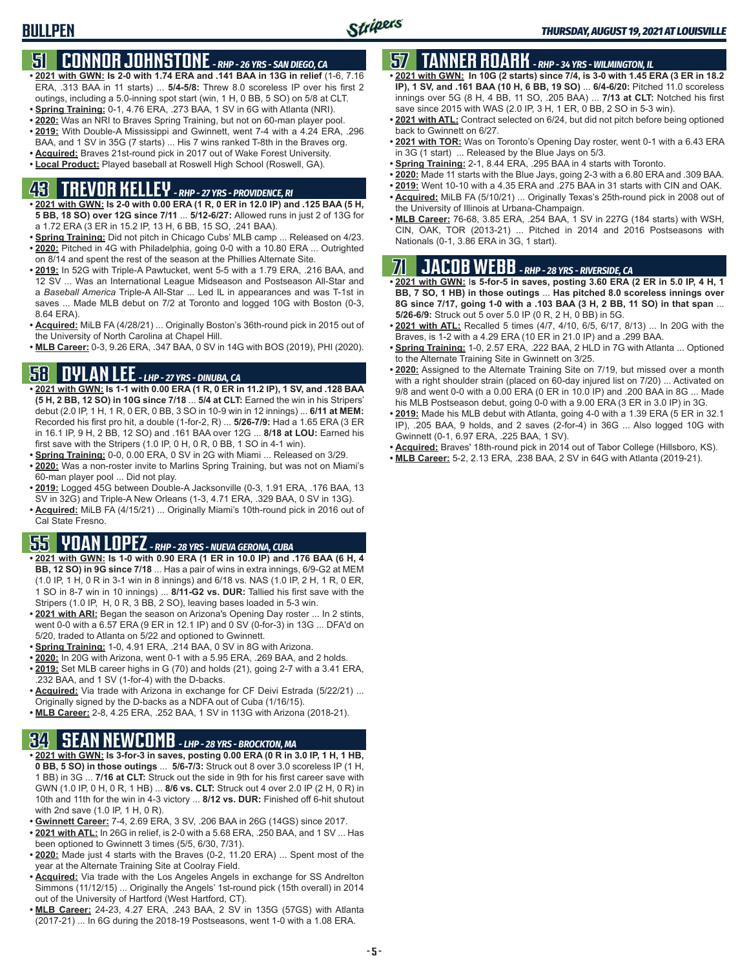## **51 CONNOR JOHNSTONE** *- RHP - 26 YRS - SAN DIEGO, CA*

- **• 2021 with GWN: Is 2-0 with 1.74 ERA and .141 BAA in 13G in relief** (1-6, 7.16 ERA, .313 BAA in 11 starts) ... **5/4-5/8:** Threw 8.0 scoreless IP over his first 2 outings, including a 5.0-inning spot start (win, 1 H, 0 BB, 5 SO) on 5/8 at CLT.
- **• Spring Training:** 0-1, 4.76 ERA, .273 BAA, 1 SV in 6G with Atlanta (NRI).
- **• 2020:** Was an NRI to Braves Spring Training, but not on 60-man player pool.
- **• 2019:** With Double-A Mississippi and Gwinnett, went 7-4 with a 4.24 ERA, .296 BAA, and 1 SV in 35G (7 starts) ... His 7 wins ranked T-8th in the Braves org.
- **• Acquired:** Braves 21st-round pick in 2017 out of Wake Forest University.
- **• Local Product:** Played baseball at Roswell High School (Roswell, GA).

## **43 TREVOR KELLEY** *- RHP - 27 YRS - PROVIDENCE, RI*

- **• 2021 with GWN: Is 2-0 with 0.00 ERA (1 R, 0 ER in 12.0 IP) and .125 BAA (5 H, 5 BB, 18 SO) over 12G since 7/11** ... **5/12-6/27:** Allowed runs in just 2 of 13G for a 1.72 ERA (3 ER in 15.2 IP, 13 H, 6 BB, 15 SO, .241 BAA).
- **• Spring Training:** Did not pitch in Chicago Cubs' MLB camp ... Released on 4/23. **• 2020:** Pitched in 4G with Philadelphia, going 0-0 with a 10.80 ERA ... Outrighted on 8/14 and spent the rest of the season at the Phillies Alternate Site.
- **• 2019:** In 52G with Triple-A Pawtucket, went 5-5 with a 1.79 ERA, .216 BAA, and 12 SV ... Was an International League Midseason and Postseason All-Star and a *Baseball America* Triple-A All-Star ... Led IL in appearances and was T-1st in saves ... Made MLB debut on 7/2 at Toronto and logged 10G with Boston (0-3, 8.64 ERA).
- **• Acquired:** MiLB FA (4/28/21) ... Originally Boston's 36th-round pick in 2015 out of the University of North Carolina at Chapel Hill.
- **• MLB Career:** 0-3, 9.26 ERA, .347 BAA, 0 SV in 14G with BOS (2019), PHI (2020).

## **58 DYLAN LEE** *- LHP - 27 YRS - DINUBA, CA*

- **• 2021 with GWN: Is 1-1 with 0.00 ERA (1 R, 0 ER in 11.2 IP), 1 SV, and .128 BAA (5 H, 2 BB, 12 SO) in 10G since 7/18** ... **5/4 at CLT:** Earned the win in his Stripers' debut (2.0 IP, 1 H, 1 R, 0 ER, 0 BB, 3 SO in 10-9 win in 12 innings) ... **6/11 at MEM:** Recorded his first pro hit, a double (1-for-2, R) ... **5/26-7/9:** Had a 1.65 ERA (3 ER in 16.1 IP, 9 H, 2 BB, 12 SO) and .161 BAA over 12G ... **8/18 at LOU:** Earned his first save with the Stripers (1.0 IP, 0 H, 0 R, 0 BB, 1 SO in 4-1 win).
- **• Spring Training:** 0-0, 0.00 ERA, 0 SV in 2G with Miami ... Released on 3/29.
- **• 2020:** Was a non-roster invite to Marlins Spring Training, but was not on Miami's 60-man player pool ... Did not play.
- **• 2019:** Logged 45G between Double-A Jacksonville (0-3, 1.91 ERA, .176 BAA, 13 SV in 32G) and Triple-A New Orleans (1-3, 4.71 ERA, .329 BAA, 0 SV in 13G).
- **• Acquired:** MiLB FA (4/15/21) ... Originally Miami's 10th-round pick in 2016 out of Cal State Fresno.

### **55 YOAN LOPEZ** *- RHP - 28 YRS - NUEVA GERONA, CUBA*

- **• 2021 with GWN: Is 1-0 with 0.90 ERA (1 ER in 10.0 IP) and .176 BAA (6 H, 4 BB, 12 SO) in 9G since 7/18** ... Has a pair of wins in extra innings, 6/9-G2 at MEM (1.0 IP, 1 H, 0 R in 3-1 win in 8 innings) and 6/18 vs. NAS (1.0 IP, 2 H, 1 R, 0 ER, 1 SO in 8-7 win in 10 innings) ... **8/11-G2 vs. DUR:** Tallied his first save with the Stripers (1.0 IP, H, 0 R, 3 BB, 2 SO), leaving bases loaded in 5-3 win.
- **• 2021 with ARI:** Began the season on Arizona's Opening Day roster ... In 2 stints, went 0-0 with a 6.57 ERA (9 ER in 12.1 IP) and 0 SV (0-for-3) in 13G ... DFA'd on 5/20, traded to Atlanta on 5/22 and optioned to Gwinnett.
- **• Spring Training:** 1-0, 4.91 ERA, .214 BAA, 0 SV in 8G with Arizona.
- **• 2020:** In 20G with Arizona, went 0-1 with a 5.95 ERA, .269 BAA, and 2 holds.
- **• 2019:** Set MLB career highs in G (70) and holds (21), going 2-7 with a 3.41 ERA, .232 BAA, and 1 SV (1-for-4) with the D-backs.
- **• Acquired:** Via trade with Arizona in exchange for CF Deivi Estrada (5/22/21) ... Originally signed by the D-backs as a NDFA out of Cuba (1/16/15).
- **• MLB Career:** 2-8, 4.25 ERA, .252 BAA, 1 SV in 113G with Arizona (2018-21).

## **34 SEAN NEWCOMB** *- LHP - 28 YRS - BROCKTON, MA*

- **• 2021 with GWN: Is 3-for-3 in saves, posting 0.00 ERA (0 R in 3.0 IP, 1 H, 1 HB, 0 BB, 5 SO) in those outings** ... **5/6-7/3:** Struck out 8 over 3.0 scoreless IP (1 H, 1 BB) in 3G ... **7/16 at CLT:** Struck out the side in 9th for his first career save with GWN (1.0 IP, 0 H, 0 R, 1 HB) ... **8/6 vs. CLT:** Struck out 4 over 2.0 IP (2 H, 0 R) in 10th and 11th for the win in 4-3 victory ... **8/12 vs. DUR:** Finished off 6-hit shutout with 2nd save (1.0 IP, 1 H, 0 R).
- **• Gwinnett Career:** 7-4, 2.69 ERA, 3 SV, .206 BAA in 26G (14GS) since 2017.
- **• 2021 with ATL:** In 26G in relief, is 2-0 with a 5.68 ERA, .250 BAA, and 1 SV ... Has been optioned to Gwinnett 3 times (5/5, 6/30, 7/31).
- **• 2020:** Made just 4 starts with the Braves (0-2, 11.20 ERA) ... Spent most of the year at the Alternate Training Site at Coolray Field.
- **• Acquired:** Via trade with the Los Angeles Angels in exchange for SS Andrelton Simmons (11/12/15) ... Originally the Angels' 1st-round pick (15th overall) in 2014 out of the University of Hartford (West Hartford, CT).
- **• MLB Career:** 24-23, 4.27 ERA, .243 BAA, 2 SV in 135G (57GS) with Atlanta (2017-21) ... In 6G during the 2018-19 Postseasons, went 1-0 with a 1.08 ERA.

## **57 TANNER ROARK** *- RHP - 34 YRS - WILMINGTON, IL*

- **• 2021 with GWN: In 10G (2 starts) since 7/4, is 3-0 with 1.45 ERA (3 ER in 18.2 IP), 1 SV, and .161 BAA (10 H, 6 BB, 19 SO)** ... **6/4-6/20:** Pitched 11.0 scoreless innings over 5G (8 H, 4 BB, 11 SO, .205 BAA) ... **7/13 at CLT:** Notched his first save since 2015 with WAS (2.0 IP, 3 H, 1 ER, 0 BB, 2 SO in 5-3 win).
- **• 2021 with ATL:** Contract selected on 6/24, but did not pitch before being optioned back to Gwinnett on 6/27.
- **• 2021 with TOR:** Was on Toronto's Opening Day roster, went 0-1 with a 6.43 ERA in 3G (1 start) ... Released by the Blue Jays on 5/3.
- **• Spring Training:** 2-1, 8.44 ERA, .295 BAA in 4 starts with Toronto.
- **• 2020:** Made 11 starts with the Blue Jays, going 2-3 with a 6.80 ERA and .309 BAA.
- **• 2019:** Went 10-10 with a 4.35 ERA and .275 BAA in 31 starts with CIN and OAK.
- **• Acquired:** MiLB FA (5/10/21) ... Originally Texas's 25th-round pick in 2008 out of the University of Illinois at Urbana-Champaign.
- **• MLB Career:** 76-68, 3.85 ERA, .254 BAA, 1 SV in 227G (184 starts) with WSH, CIN, OAK, TOR (2013-21) ... Pitched in 2014 and 2016 Postseasons with Nationals (0-1, 3.86 ERA in 3G, 1 start).

## **71 JACOB WEBB** *- RHP - 28 YRS - RIVERSIDE, CA*

**• 2021 with GWN:** I**s 5-for-5 in saves, posting 3.60 ERA (2 ER in 5.0 IP, 4 H, 1 BB, 7 SO, 1 HB) in those outings** ... **Has pitched 8.0 scoreless innings over 8G since 7/17, going 1-0 with a .103 BAA (3 H, 2 BB, 11 SO) in that span** ... **5/26-6/9:** Struck out 5 over 5.0 IP (0 R, 2 H, 0 BB) in 5G.

- **• 2021 with ATL:** Recalled 5 times (4/7, 4/10, 6/5, 6/17, 8/13) ... In 20G with the Braves, is 1-2 with a 4.29 ERA (10 ER in 21.0 IP) and a .299 BAA.
- **• Spring Training:** 1-0, 2.57 ERA, .222 BAA, 2 HLD in 7G with Atlanta ... Optioned to the Alternate Training Site in Gwinnett on 3/25.
- **• 2020:** Assigned to the Alternate Training Site on 7/19, but missed over a month with a right shoulder strain (placed on 60-day injured list on 7/20) ... Activated on 9/8 and went 0-0 with a 0.00 ERA (0 ER in 10.0 IP) and .200 BAA in 8G ... Made his MLB Postseason debut, going 0-0 with a 9.00 ERA (3 ER in 3.0 IP) in 3G.
- **• 2019:** Made his MLB debut with Atlanta, going 4-0 with a 1.39 ERA (5 ER in 32.1 IP), .205 BAA, 9 holds, and 2 saves (2-for-4) in 36G ... Also logged 10G with Gwinnett (0-1, 6.97 ERA, .225 BAA, 1 SV).
- **• Acquired:** Braves' 18th-round pick in 2014 out of Tabor College (Hillsboro, KS).
- **• MLB Career:** 5-2, 2.13 ERA, .238 BAA, 2 SV in 64G with Atlanta (2019-21).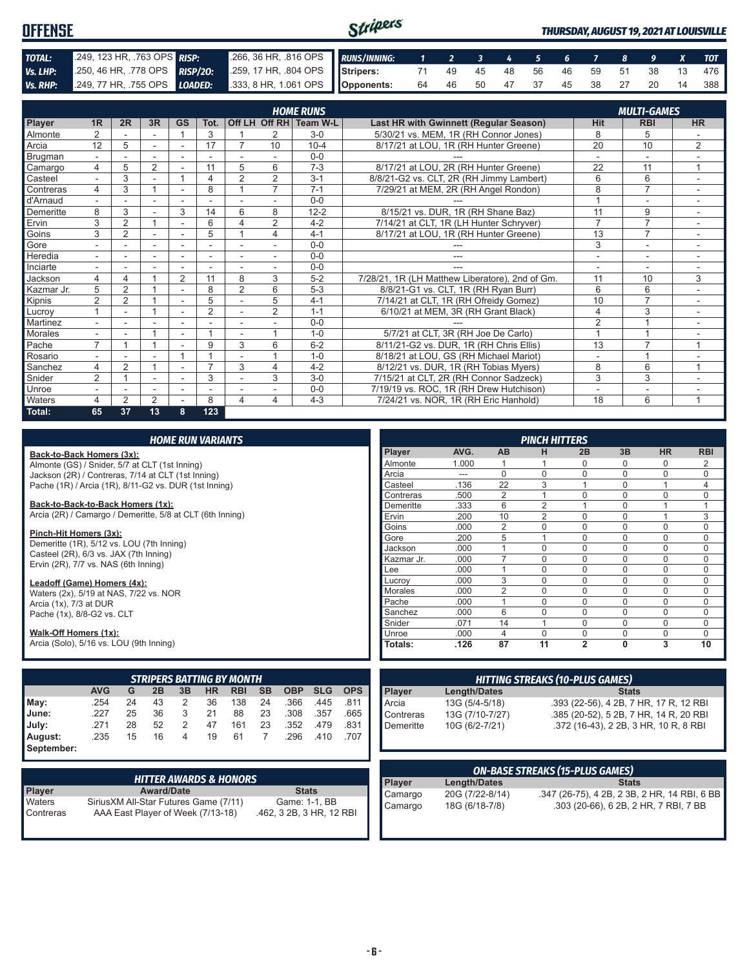| <b>OFFENSE</b> |                                                                                          |                                                            | Stripers |  |  |  |  |                               | <b>THURSDAY, AUGUST 19, 2021 AT LOUISVILLE</b> |
|----------------|------------------------------------------------------------------------------------------|------------------------------------------------------------|----------|--|--|--|--|-------------------------------|------------------------------------------------|
| TOTAL:         | 249, 123 HR, 763 OPS RISP:                                                               | .266, 36 HR, .816 OPS RUNS/INNING: 1 2 3 4 5 6 7 8 9 X TOT |          |  |  |  |  |                               |                                                |
| Vs. LHP:       | 250, 46 HR, 778 OPS RISP/20: 259, 17 HR, 804 OPS Stripers: 71 49 45 48 56 46 59 51 38 13 |                                                            |          |  |  |  |  |                               | 476                                            |
| Vs. RHP:       | 249, 77 HR, 755 OPS <b>LOADED:</b> 333, 8 HR, 1.061 OPS <b>Opponents:</b>                |                                                            |          |  |  |  |  | 64 46 50 47 37 45 38 27 20 14 | 388 I                                          |

|              |                          |                |                          |                |                |                |                | <b>HOME RUNS</b>       |                                                 |                | <b>MULTI-GAMES</b>       |                |
|--------------|--------------------------|----------------|--------------------------|----------------|----------------|----------------|----------------|------------------------|-------------------------------------------------|----------------|--------------------------|----------------|
| Player       | 1 <sub>R</sub>           | 2R             | 3R                       | <b>GS</b>      | Tot.           |                |                | Off LH Off RH Team W-L | Last HR with Gwinnett (Regular Season)          | Hit            | <b>RBI</b>               | <b>HR</b>      |
| Almonte      | 2                        |                |                          |                | 3              |                |                | $3-0$                  | 5/30/21 vs. MEM, 1R (RH Connor Jones)           | 8              | 5                        |                |
| Arcia        | 12                       | 5              |                          |                | 17             | $\overline{7}$ | 10             | $10 - 4$               | 8/17/21 at LOU, 1R (RH Hunter Greene)           | 20             | 10                       | 2              |
| Brugman      |                          |                |                          |                |                |                |                | $0 - 0$                |                                                 |                |                          |                |
| Camargo      | 4                        | 5              | $\overline{2}$           |                | 11             | 5              | 6              | $7 - 3$                | 8/17/21 at LOU, 2R (RH Hunter Greene)           | 22             | 11                       | 1              |
| Casteel      | $\sim$                   | 3              | ۰                        |                | 4              | $\overline{2}$ | 2              | $3 - 1$                | 8/8/21-G2 vs. CLT, 2R (RH Jimmy Lambert)        | 6              | 6                        | ٠              |
| Contreras    | 4                        | 3              |                          |                | 8              |                | $\overline{7}$ | $7 - 1$                | 7/29/21 at MEM, 2R (RH Angel Rondon)            | 8              | $\overline{7}$           |                |
| d'Arnaud     |                          |                |                          |                |                |                |                | $0 - 0$                |                                                 |                | ٠                        |                |
| Demeritte    | 8                        | 3              |                          | 3              | 14             | 6              | 8              | $12 - 2$               | 8/15/21 vs. DUR, 1R (RH Shane Baz)              | 11             | 9                        |                |
| Ervin        | 3                        | 2              | $\overline{ }$           |                | 6              | 4              | 2              | $4 - 2$                | 7/14/21 at CLT, 1R (LH Hunter Schryver)         | $\overline{7}$ | $\overline{7}$           |                |
| Goins        | 3                        | 2              |                          |                | 5              |                | 4              | $4 - 1$                | 8/17/21 at LOU, 1R (RH Hunter Greene)           | 13             | $\overline{7}$           | ٠.             |
| Gore         |                          |                | -                        |                | ٠              |                | ٠              | $0 - 0$                |                                                 | 3              | $\overline{\phantom{a}}$ |                |
| Heredia      | ۰.                       |                |                          |                | ٠              |                |                | $0 - 0$                |                                                 | ۰              | ۰                        |                |
| Inciarte     |                          |                |                          |                |                |                |                | $0 - 0$                |                                                 |                |                          |                |
| Jackson      | 4                        | 4              |                          | $\overline{2}$ | 11             | 8              | 3              | $5 - 2$                | 7/28/21, 1R (LH Matthew Liberatore), 2nd of Gm. | 11             | 10                       | 3              |
| Kazmar Jr.   | 5                        | $\overline{2}$ |                          |                | 8              | 2              | 6              | $5 - 3$                | 8/8/21-G1 vs. CLT, 1R (RH Ryan Burr)            | 6              | 6                        |                |
| Kipnis       | $\overline{2}$           | $\overline{2}$ |                          |                | 5              |                | 5              | $4 - 1$                | 7/14/21 at CLT, 1R (RH Ofreidy Gomez)           | 10             | $\overline{7}$           |                |
| Lucroy       |                          | ٠              |                          | ٠              | $\overline{2}$ |                | 2              | $1 - 1$                | 6/10/21 at MEM, 3R (RH Grant Black)             | $\overline{4}$ | 3                        | $\sim$         |
| Martinez     |                          |                |                          |                |                |                |                | $0 - 0$                |                                                 | $\overline{2}$ |                          |                |
| Morales      |                          |                |                          |                |                |                |                | $1 - 0$                | 5/7/21 at CLT, 3R (RH Joe De Carlo)             |                |                          |                |
| Pache        | $\overline{7}$           |                |                          |                | 9              | 3              | 6              | $6 - 2$                | 8/11/21-G2 vs. DUR, 1R (RH Chris Ellis)         | 13             | $\overline{7}$           | $\overline{1}$ |
| Rosario      |                          |                | ۰                        |                |                |                |                | $1 - 0$                | 8/18/21 at LOU, GS (RH Michael Mariot)          | ٠              |                          |                |
| Sanchez      | 4                        | $\overline{2}$ |                          |                | ⇁              | 3              | 4              | $4 - 2$                | 8/12/21 vs. DUR, 1R (RH Tobias Myers)           | 8              | 6                        |                |
| Snider       | 2                        |                | $\overline{\phantom{a}}$ | ٠              | 3              |                | 3              | $3-0$                  | 7/15/21 at CLT, 2R (RH Connor Sadzeck)          | 3              | 3                        |                |
| <b>Unroe</b> | $\overline{\phantom{a}}$ |                | $\overline{\phantom{a}}$ | ٠              | ÷              |                |                | $0 - 0$                | 7/19/19 vs. ROC, 1R (RH Drew Hutchison)         | ٠              | $\overline{\phantom{a}}$ |                |
| Waters       | 4                        | $\overline{2}$ | $\overline{2}$           |                | 8              | 4              | 4              | $4 - 3$                | 7/24/21 vs. NOR. 1R (RH Eric Hanhold)           | 18             | 6                        | $\overline{A}$ |
| Total:       | 65                       | 37             | 13                       | 8              | 123            |                |                |                        |                                                 |                |                          |                |

|                                                                  | <b>HOME RUN VARIANTS</b> |    |                   |    |                                   |            |                |              |                |             |             |                                                                                                   |                      | <b>PINCH HITTERS</b>                   |                               |              |                                              |                     |
|------------------------------------------------------------------|--------------------------|----|-------------------|----|-----------------------------------|------------|----------------|--------------|----------------|-------------|-------------|---------------------------------------------------------------------------------------------------|----------------------|----------------------------------------|-------------------------------|--------------|----------------------------------------------|---------------------|
| Back-to-Back Homers (3x):                                        |                          |    |                   |    |                                   |            |                |              |                |             | Player      | AVG.                                                                                              | <b>AB</b>            | н                                      | 2B                            | 3B           | <b>HR</b>                                    | <b>RBI</b>          |
| Almonte (GS) / Snider, 5/7 at CLT (1st Inning)                   |                          |    |                   |    |                                   |            |                |              |                |             | Almonte     | 1.000                                                                                             |                      |                                        | $\mathbf 0$                   | $\Omega$     | 0                                            | 2                   |
| Jackson (2R) / Contreras, 7/14 at CLT (1st Inning)               |                          |    |                   |    |                                   |            |                |              |                |             | Arcia       | ---                                                                                               | $\Omega$             | $\Omega$                               | $\Omega$                      | $\Omega$     | $\mathbf 0$                                  | $\mathbf 0$         |
| Pache (1R) / Arcia (1R), 8/11-G2 vs. DUR (1st Inning)            |                          |    |                   |    |                                   |            |                |              |                |             | Casteel     | .136                                                                                              | $\overline{22}$      | $\overline{3}$                         |                               | $\Omega$     | $\mathbf{1}$                                 | $\overline{4}$      |
|                                                                  |                          |    |                   |    |                                   |            |                |              |                |             | Contreras   | .500                                                                                              | $\overline{2}$       | $\mathbf{1}$                           | $\Omega$                      | $\Omega$     | $\mathbf 0$                                  | $\mathbf 0$         |
| Back-to-Back-to-Back Homers (1x):                                |                          |    |                   |    |                                   |            |                |              |                |             | Demeritte   | .333                                                                                              | 6                    | $\overline{2}$                         | $\overline{1}$                | $\Omega$     | $\overline{1}$                               | $\mathbf{1}$        |
| Arcia (2R) / Camargo / Demeritte, 5/8 at CLT (6th Inning)        |                          |    |                   |    |                                   |            |                |              |                |             | Ervin       | .200                                                                                              | 10                   | $\overline{2}$                         | $\Omega$                      | $\Omega$     | $\overline{1}$                               | 3                   |
| Pinch-Hit Homers (3x):                                           |                          |    |                   |    |                                   |            |                |              |                |             | Goins       | .000                                                                                              | $\overline{2}$       | $\mathbf 0$                            | $\mathbf 0$                   | $\Omega$     | $\mathbf 0$                                  | $\mathbf 0$         |
| Demeritte (1R), 5/12 vs. LOU (7th Inning)                        |                          |    |                   |    |                                   |            |                |              |                |             | Gore        | .200                                                                                              | 5                    |                                        | $\mathbf 0$                   | $\Omega$     | 0                                            | $\mathbf 0$         |
| Casteel (2R), 6/3 vs. JAX (7th Inning)                           |                          |    |                   |    |                                   |            |                |              |                |             | Jackson     | .000                                                                                              |                      | $\Omega$                               | $\Omega$                      | $\Omega$     | $\mathbf 0$                                  | $\mathbf 0$         |
| Ervin (2R), 7/7 vs. NAS (6th Inning)                             |                          |    |                   |    |                                   |            |                |              |                |             | Kazmar Jr.  | .000                                                                                              | $\overline{7}$       | $\Omega$                               | $\Omega$                      | $\Omega$     | $\Omega$                                     | $\mathbf 0$         |
|                                                                  |                          |    |                   |    |                                   |            |                |              |                |             | Lee         | .000                                                                                              |                      | $\mathbf 0$                            | $\mathbf 0$                   | $\Omega$     | 0                                            | $\mathsf{O}\xspace$ |
| Leadoff (Game) Homers (4x):                                      |                          |    |                   |    |                                   |            |                |              | Lucroy         | .000        | 3           | $\Omega$                                                                                          | $\Omega$             | $\Omega$                               | $\mathbf 0$                   | $\mathbf 0$  |                                              |                     |
| Waters (2x), 5/19 at NAS, 7/22 vs. NOR                           |                          |    |                   |    |                                   |            | <b>Morales</b> | .000         | $\overline{2}$ | $\mathbf 0$ | $\mathbf 0$ | $\Omega$                                                                                          | 0                    | $\mathbf 0$                            |                               |              |                                              |                     |
| Arcia (1x), 7/3 at DUR                                           |                          |    |                   |    |                                   |            |                |              |                |             | Pache       | .000                                                                                              |                      | $\Omega$                               | $\Omega$                      | $\Omega$     | 0                                            | $\mathbf 0$         |
| Pache (1x), 8/8-G2 vs. CLT                                       |                          |    |                   |    |                                   |            |                |              |                |             | Sanchez     | .000                                                                                              | 6                    | $\Omega$                               | $\Omega$                      | $\Omega$     | $\Omega$                                     | $\mathbf 0$         |
|                                                                  |                          |    |                   |    |                                   |            |                |              |                |             | Snider      | .071                                                                                              | 14                   |                                        | $\mathbf 0$                   | $\mathbf 0$  | $\mathbf 0$                                  | $\mathbf 0$         |
| Walk-Off Homers (1x):<br>Arcia (Solo), 5/16 vs. LOU (9th Inning) |                          |    |                   |    |                                   |            |                |              |                |             | Unroe       | .000                                                                                              | $\overline{4}$<br>87 | $\mathbf 0$<br>11                      | $\mathbf 0$<br>$\overline{2}$ | $\mathbf 0$  | $\mathbf 0$<br>$\overline{3}$                | $\overline{0}$      |
|                                                                  |                          |    |                   |    |                                   |            |                |              |                |             | Totals:     | .126                                                                                              |                      |                                        |                               | $\mathbf{0}$ |                                              | 10                  |
|                                                                  |                          |    |                   |    | <b>STRIPERS BATTING BY MONTH</b>  |            |                |              |                |             |             |                                                                                                   |                      | <b>HITTING STREAKS (10-PLUS GAMES)</b> |                               |              |                                              |                     |
|                                                                  | <b>AVG</b>               | G  | 2B                | 3B | <b>HR</b>                         | <b>RBI</b> | <b>SB</b>      | <b>OBP</b>   | <b>SLG</b>     | <b>OPS</b>  | Player      | <b>Length/Dates</b>                                                                               |                      |                                        |                               | <b>Stats</b> |                                              |                     |
| May:                                                             | .254                     | 24 | 43                | 2  | 36                                | 138        | 24             | .366         | .445           | .811        | Arcia       | 13G (5/4-5/18)                                                                                    |                      |                                        |                               |              | .393 (22-56), 4 2B, 7 HR, 17 R, 12 RBI       |                     |
| June:                                                            | .227                     | 25 | 36                | 3  | 21                                | 88         | 23             | .308         | .357           | .665        | Contreras   | 13G (7/10-7/27)                                                                                   |                      |                                        |                               |              |                                              |                     |
| July:                                                            | .271                     | 28 | 52                | 2  | 47                                | 161        | 23             | .352         | .479           | .831        | Demeritte   | .385 (20-52), 5 2B, 7 HR, 14 R, 20 RBI<br>10G (6/2-7/21)<br>.372 (16-43), 2 2B, 3 HR, 10 R, 8 RBI |                      |                                        |                               |              |                                              |                     |
| August:                                                          | .235                     | 15 | 16                | 4  | 19                                | 61         | $\overline{7}$ | .296         | .410           | .707        |             |                                                                                                   |                      |                                        |                               |              |                                              |                     |
| September:                                                       |                          |    |                   |    |                                   |            |                |              |                |             |             |                                                                                                   |                      |                                        |                               |              |                                              |                     |
|                                                                  |                          |    |                   |    |                                   |            |                |              |                |             |             |                                                                                                   |                      |                                        |                               |              |                                              |                     |
|                                                                  |                          |    |                   |    |                                   |            |                |              |                |             |             |                                                                                                   |                      | <b>ON-BASE STREAKS (15-PLUS GAMES)</b> |                               |              |                                              |                     |
|                                                                  |                          |    |                   |    | <b>HITTER AWARDS &amp; HONORS</b> |            |                |              |                |             | Player      | <b>Length/Dates</b>                                                                               |                      |                                        |                               | <b>Stats</b> |                                              |                     |
| <b>Player</b>                                                    |                          |    | <b>Award/Date</b> |    |                                   |            |                | <b>Stats</b> |                |             | Camargo     | 20G (7/22-8/14)                                                                                   |                      |                                        |                               |              | .347 (26-75), 4 2B, 2 3B, 2 HR, 14 RBI, 6 BB |                     |

| <b>HITTER AWARDS &amp; HONORS</b> |                                        |                          |  |  |  |  |  |  |  |
|-----------------------------------|----------------------------------------|--------------------------|--|--|--|--|--|--|--|
| <b>Player</b>                     | <b>Award/Date</b>                      | <b>Stats</b>             |  |  |  |  |  |  |  |
| Waters                            | Sirius XM All-Star Futures Game (7/11) | Game: 1-1, BB            |  |  |  |  |  |  |  |
| Contreras                         | AAA East Player of Week (7/13-18)      | .462, 3 2B, 3 HR, 12 RBI |  |  |  |  |  |  |  |

|--|

Camargo 18G (6/18-7/8) .303 (20-66), 6 2B, 2 HR, 7 RBI, 7 BB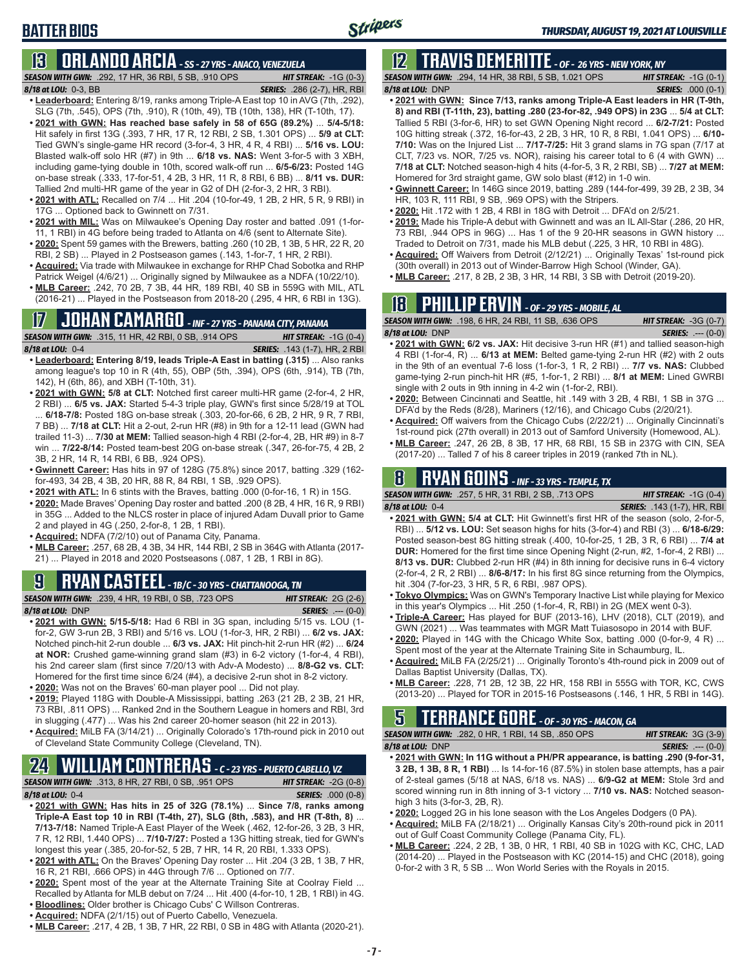### **BATTER BIOS**

## **13 ORLANDO ARCIA** *- SS - 27 YRS - ANACO, VENEZUELA*

*SEASON WITH GWN:*.292, 17 HR, 36 RBI, 5 SB, .910 OPS *HIT STREAK:* -1G (0-3) *8/18 at LOU:*0-3, BB *SERIES:* .286 (2-7), HR, RBI

- **• Leaderboard:** Entering 8/19, ranks among Triple-A East top 10 in AVG (7th, .292), SLG (7th, .545), OPS (7th, .910), R (10th, 49), TB (10th, 138), HR (T-10th, 17).
- **• 2021 with GWN: Has reached base safely in 58 of 65G (89.2%)** ... **5/4-5/18:**  Hit safely in first 13G (.393, 7 HR, 17 R, 12 RBI, 2 SB, 1.301 OPS) ... **5/9 at CLT:** Tied GWN's single-game HR record (3-for-4, 3 HR, 4 R, 4 RBI) ... **5/16 vs. LOU:** Blasted walk-off solo HR (#7) in 9th ... **6/18 vs. NAS:** Went 3-for-5 with 3 XBH, including game-tying double in 10th, scored walk-off run ... **6/5-6/23:** Posted 14G on-base streak (.333, 17-for-51, 4 2B, 3 HR, 11 R, 8 RBI, 6 BB) ... **8/11 vs. DUR:** Tallied 2nd multi-HR game of the year in G2 of DH (2-for-3, 2 HR, 3 RBI).
- **• 2021 with ATL:** Recalled on 7/4 ... Hit .204 (10-for-49, 1 2B, 2 HR, 5 R, 9 RBI) in 17G ... Optioned back to Gwinnett on 7/31.
- **• 2021 with MIL:** Was on Milwaukee's Opening Day roster and batted .091 (1-for-11, 1 RBI) in 4G before being traded to Atlanta on 4/6 (sent to Alternate Site).
- **• 2020:** Spent 59 games with the Brewers, batting .260 (10 2B, 1 3B, 5 HR, 22 R, 20 RBI, 2 SB) ... Played in 2 Postseason games (.143, 1-for-7, 1 HR, 2 RBI).
- **• Acquired:** Via trade with Milwaukee in exchange for RHP Chad Sobotka and RHP Patrick Weigel (4/6/21) ... Originally signed by Milwaukee as a NDFA (10/22/10).
- **• MLB Career:** .242, 70 2B, 7 3B, 44 HR, 189 RBI, 40 SB in 559G with MIL, ATL (2016-21) ... Played in the Postseason from 2018-20 (.295, 4 HR, 6 RBI in 13G).

# **17 JOHAN CAMARGO** *- INF - 27 YRS - PANAMA CITY, PANAMA*

**SEASON WITH GWN:** .315, 11 HR, 42 RBI, 0 SB, .914 OPS

*8/18 at LOU:* 0-4 *SERIES:* .143 (1-7), HR, 2 RBI

- **• Leaderboard: Entering 8/19, leads Triple-A East in batting (.315)** ... Also ranks among league's top 10 in R (4th, 55), OBP (5th, .394), OPS (6th, .914), TB (7th, 142), H (6th, 86), and XBH (T-10th, 31).
- **• 2021 with GWN: 5/8 at CLT:** Notched first career multi-HR game (2-for-4, 2 HR, 2 RBI) ... **6/5 vs. JAX:** Started 5-4-3 triple play, GWN's first since 5/28/19 at TOL ... **6/18-7/8:** Posted 18G on-base streak (.303, 20-for-66, 6 2B, 2 HR, 9 R, 7 RBI, 7 BB) ... **7/18 at CLT:** Hit a 2-out, 2-run HR (#8) in 9th for a 12-11 lead (GWN had trailed 11-3) ... **7/30 at MEM:** Tallied season-high 4 RBI (2-for-4, 2B, HR #9) in 8-7 win ... **7/22-8/14:** Posted team-best 20G on-base streak (.347, 26-for-75, 4 2B, 2 3B, 2 HR, 14 R, 14 RBI, 6 BB, .924 OPS).
- **• Gwinnett Career:** Has hits in 97 of 128G (75.8%) since 2017, batting .329 (162 for-493, 34 2B, 4 3B, 20 HR, 88 R, 84 RBI, 1 SB, .929 OPS).
- **• 2021 with ATL:** In 6 stints with the Braves, batting .000 (0-for-16, 1 R) in 15G.
- **• 2020:** Made Braves' Opening Day roster and batted .200 (8 2B, 4 HR, 16 R, 9 RBI) in 35G ... Added to the NLCS roster in place of injured Adam Duvall prior to Game 2 and played in 4G (.250, 2-for-8, 1 2B, 1 RBI).
- **• Acquired:** NDFA (7/2/10) out of Panama City, Panama.
- **• MLB Career:** .257, 68 2B, 4 3B, 34 HR, 144 RBI, 2 SB in 364G with Atlanta (2017- 21) ... Played in 2018 and 2020 Postseasons (.087, 1 2B, 1 RBI in 8G).

## **9 RYAN CASTEEL** *- 1B/C - 30 YRS - CHATTANOOGA, TN*

*SEASON WITH GWN:*.239, 4 HR, 19 RBI, 0 SB, .723 OPS *HIT STREAK:* 2G (2-6) *8/18 at LOU:*DNP *SERIES:* .--- (0-0)

- **• 2021 with GWN: 5/15-5/18:** Had 6 RBI in 3G span, including 5/15 vs. LOU (1 for-2, GW 3-run 2B, 3 RBI) and 5/16 vs. LOU (1-for-3, HR, 2 RBI) ... **6/2 vs. JAX:** Notched pinch-hit 2-run double ... **6/3 vs. JAX:** Hit pinch-hit 2-run HR (#2) ... **6/24 at NOR:** Crushed game-winning grand slam (#3) in 6-2 victory (1-for-4, 4 RBI), his 2nd career slam (first since 7/20/13 with Adv-A Modesto) ... **8/8-G2 vs. CLT:** Homered for the first time since 6/24 (#4), a decisive 2-run shot in 8-2 victory. **• 2020:** Was not on the Braves' 60-man player pool ... Did not play.
- **• 2019:** Played 118G with Double-A Mississippi, batting .263 (21 2B, 2 3B, 21 HR, 73 RBI, .811 OPS) ... Ranked 2nd in the Southern League in homers and RBI, 3rd in slugging (.477) ... Was his 2nd career 20-homer season (hit 22 in 2013).
- **• Acquired:** MiLB FA (3/14/21) ... Originally Colorado's 17th-round pick in 2010 out of Cleveland State Community College (Cleveland, TN).

### **24 WILLIAM CONTRERAS** *- C - 23 YRS - PUERTO CABELLO, VZ*

*SEASON WITH GWN:*.313, 8 HR, 27 RBI, 0 SB, .951 OPS *HIT STREAK:* -2G (0-8)

- 
- *8/18 at LOU:* 0-4 *SERIES:* .000 (0-8) **• 2021 with GWN: Has hits in 25 of 32G (78.1%)** ... **Since 7/8, ranks among Triple-A East top 10 in RBI (T-4th, 27), SLG (8th, .583), and HR (T-8th, 8)** ...
- **7/13-7/18:** Named Triple-A East Player of the Week (.462, 12-for-26, 3 2B, 3 HR, 7 R, 12 RBI, 1.440 OPS) ... **7/10-7/27:** Posted a 13G hitting streak, tied for GWN's longest this year (.385, 20-for-52, 5 2B, 7 HR, 14 R, 20 RBI, 1.333 OPS).
- **• 2021 with ATL:** On the Braves' Opening Day roster ... Hit .204 (3 2B, 1 3B, 7 HR, 16 R, 21 RBI, .666 OPS) in 44G through 7/6 ... Optioned on 7/7.
- **• 2020:** Spent most of the year at the Alternate Training Site at Coolray Field ... Recalled by Atlanta for MLB debut on 7/24 ... Hit .400 (4-for-10, 1 2B, 1 RBI) in 4G.
- **• Bloodlines:** Older brother is Chicago Cubs' C Willson Contreras.
- **• Acquired:** NDFA (2/1/15) out of Puerto Cabello, Venezuela.
- **• MLB Career:** .217, 4 2B, 1 3B, 7 HR, 22 RBI, 0 SB in 48G with Atlanta (2020-21).

## **12 TRAVIS DEMERITTE** *- OF - 26 YRS - NEW YORK, NY*

*SEASON WITH GWN:*.294, 14 HR, 38 RBI, 5 SB, 1.021 OPS *HIT STREAK:* -1G (0-1) *8/18 at LOU:*DNP *SERIES:* .000 (0-1)

- **• 2021 with GWN: Since 7/13, ranks among Triple-A East leaders in HR (T-9th, 8) and RBI (T-11th, 23), batting .280 (23-for-82, .949 OPS) in 23G** ... **5/4 at CLT:**  Tallied 5 RBI (3-for-6, HR) to set GWN Opening Night record ... **6/2-7/21:** Posted 10G hitting streak (.372, 16-for-43, 2 2B, 3 HR, 10 R, 8 RBI, 1.041 OPS) ... **6/10- 7/10:** Was on the Injured List ... **7/17-7/25:** Hit 3 grand slams in 7G span (7/17 at CLT, 7/23 vs. NOR, 7/25 vs. NOR), raising his career total to 6 (4 with GWN) ... **7/18 at CLT:** Notched season-high 4 hits (4-for-5, 3 R, 2 RBI, SB) ... **7/27 at MEM:** Homered for 3rd straight game, GW solo blast (#12) in 1-0 win.
- **• Gwinnett Career:** In 146G since 2019, batting .289 (144-for-499, 39 2B, 2 3B, 34 HR, 103 R, 111 RBI, 9 SB, .969 OPS) with the Stripers.
- **• 2020:** Hit .172 with 1 2B, 4 RBI in 18G with Detroit ... DFA'd on 2/5/21.
- **• 2019:** Made his Triple-A debut with Gwinnett and was an IL All-Star (.286, 20 HR, 73 RBI, .944 OPS in 96G) ... Has 1 of the 9 20-HR seasons in GWN history ... Traded to Detroit on 7/31, made his MLB debut (.225, 3 HR, 10 RBI in 48G).
- **• Acquired:** Off Waivers from Detroit (2/12/21) ... Originally Texas' 1st-round pick (30th overall) in 2013 out of Winder-Barrow High School (Winder, GA).
- **• MLB Career:** .217, 8 2B, 2 3B, 3 HR, 14 RBI, 3 SB with Detroit (2019-20).

## **18 PHILLIP ERVIN** *- OF - 29 YRS - MOBILE, AL*

| <b>SEASON WITH GWN:</b> .198.6 HR. 24 RBI. 11 SB. .636 OPS | <b>HIT STREAK:</b> $-3G(0-7)$ |
|------------------------------------------------------------|-------------------------------|
| 8/18 at LOU: DNP                                           | <b>SERIES:</b> $--- (0-0)$    |
|                                                            |                               |

- **• 2021 with GWN: 6/2 vs. JAX:** Hit decisive 3-run HR (#1) and tallied season-high 4 RBI (1-for-4, R) ... **6/13 at MEM:** Belted game-tying 2-run HR (#2) with 2 outs in the 9th of an eventual 7-6 loss (1-for-3, 1 R, 2 RBI) ... **7/7 vs. NAS:** Clubbed game-tying 2-run pinch-hit HR (#5, 1-for-1, 2 RBI) ... **8/1 at MEM:** Lined GWRBI single with 2 outs in 9th inning in 4-2 win (1-for-2, RBI).
- **• 2020:** Between Cincinnati and Seattle, hit .149 with 3 2B, 4 RBI, 1 SB in 37G ... DFA'd by the Reds (8/28), Mariners (12/16), and Chicago Cubs (2/20/21).
- **• Acquired:** Off waivers from the Chicago Cubs (2/22/21) ... Originally Cincinnati's 1st-round pick (27th overall) in 2013 out of Samford University (Homewood, AL).
- **• MLB Career:** .247, 26 2B, 8 3B, 17 HR, 68 RBI, 15 SB in 237G with CIN, SEA (2017-20) ... Talled 7 of his 8 career triples in 2019 (ranked 7th in NL).

## **8 RYAN GOINS** *- INF - 33 YRS - TEMPLE, TX*

*SEASON WITH GWN:*.257, 5 HR, 31 RBI, 2 SB, .713 OPS *HIT STREAK:* -1G (0-4)

- *8/18 at LOU:*0-4 *SERIES:* .143 (1-7), HR, RBI **• 2021 with GWN: 5/4 at CLT:** Hit Gwinnett's first HR of the season (solo, 2-for-5, RBI) ... **5/12 vs. LOU:** Set season highs for hits (3-for-4) and RBI (3) ... **6/18-6/29:** Posted season-best 8G hitting streak (.400, 10-for-25, 1 2B, 3 R, 6 RBI) ... **7/4 at DUR:** Homered for the first time since Opening Night (2-run, #2, 1-for-4, 2 RBI) ...
	- **8/13 vs. DUR:** Clubbed 2-run HR (#4) in 8th inning for decisive runs in 6-4 victory (2-for-4, 2 R, 2 RBI) ... **8/6-8/17:** In his first 8G since returning from the Olympics, hit .304 (7-for-23, 3 HR, 5 R, 6 RBI, .987 OPS).
- **• Tokyo Olympics:** Was on GWN's Temporary Inactive List while playing for Mexico in this year's Olympics ... Hit .250 (1-for-4, R, RBI) in 2G (MEX went 0-3).
- **• Triple-A Career:** Has played for BUF (2013-16), LHV (2018), CLT (2019), and GWN (2021) ... Was teammates with MGR Matt Tuiasosopo in 2014 with BUF.
- **• 2020:** Played in 14G with the Chicago White Sox, batting .000 (0-for-9, 4 R) ... Spent most of the year at the Alternate Training Site in Schaumburg, IL.
- **• Acquired:** MiLB FA (2/25/21) ... Originally Toronto's 4th-round pick in 2009 out of Dallas Baptist University (Dallas, TX).
- **• MLB Career:** .228, 71 2B, 12 3B, 22 HR, 158 RBI in 555G with TOR, KC, CWS (2013-20) ... Played for TOR in 2015-16 Postseasons (.146, 1 HR, 5 RBI in 14G).

## **5 TERRANCE GORE** *- OF - 30 YRS - MACON, GA*

*SEASON WITH GWN:*.282, 0 HR, 1 RBI, 14 SB, .850 OPS *HIT STREAK:* 3G (3-9) *8/18 at LOU:*DNP *SERIES:* .--- (0-0)

- **• 2021 with GWN: In 11G without a PH/PR appearance, is batting .290 (9-for-31, 3 2B, 1 3B, 8 R, 1 RBI)** ... Is 14-for-16 (87.5%) in stolen base attempts, has a pair of 2-steal games (5/18 at NAS, 6/18 vs. NAS) ... **6/9-G2 at MEM:** Stole 3rd and scored winning run in 8th inning of 3-1 victory ... **7/10 vs. NAS:** Notched seasonhigh 3 hits (3-for-3, 2B, R).
- **• 2020:** Logged 2G in his lone season with the Los Angeles Dodgers (0 PA).
- **• Acquired:** MiLB FA (2/18/21) ... Originally Kansas City's 20th-round pick in 2011 out of Gulf Coast Community College (Panama City, FL).
- **• MLB Career:** .224, 2 2B, 1 3B, 0 HR, 1 RBI, 40 SB in 102G with KC, CHC, LAD (2014-20) ... Played in the Postseason with KC (2014-15) and CHC (2018), going 0-for-2 with 3 R, 5 SB ... Won World Series with the Royals in 2015.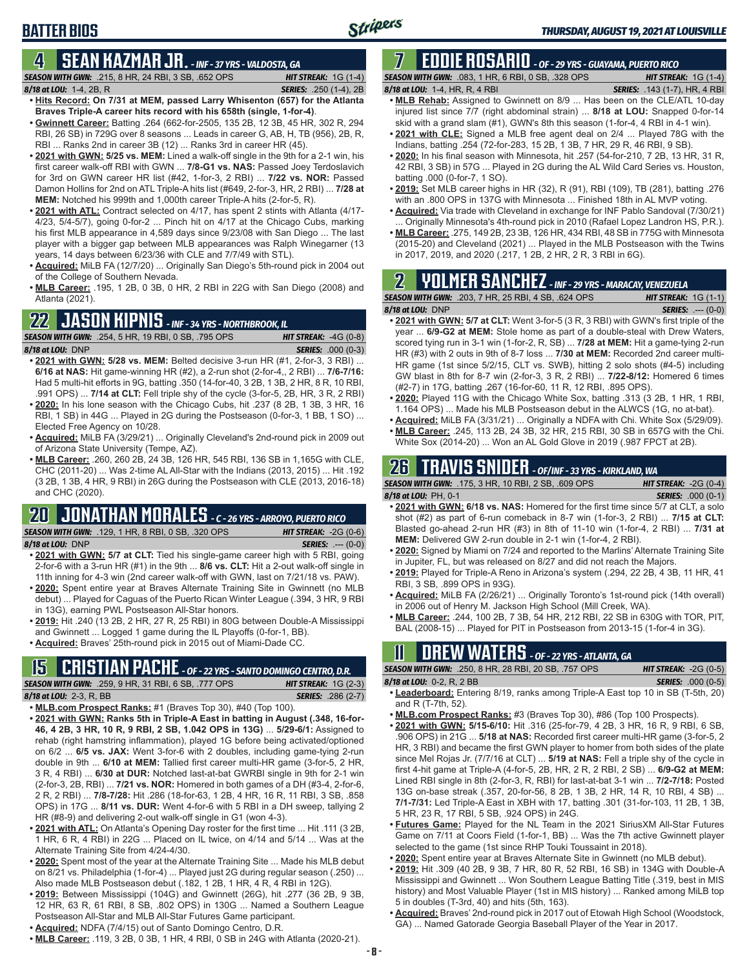## **BATTER BIOS**

### **4 SEAN KAZMAR JR.** *- INF - 37 YRS - VALDOSTA, GA*

*SEASON WITH GWN:*.215, 8 HR, 24 RBI, 3 SB, .652 OPS *HIT STREAK:* 1G (1-4) *8/18 at LOU:*1-4, 2B, R *SERIES:* .250 (1-4), 2B

- **• Hits Record: On 7/31 at MEM, passed Larry Whisenton (657) for the Atlanta Braves Triple-A career hits record with his 658th (single, 1-for-4)**. **• Gwinnett Career:** Batting .264 (662-for-2505, 135 2B, 12 3B, 45 HR, 302 R, 294
- RBI, 26 SB) in 729G over 8 seasons ... Leads in career G, AB, H, TB (956), 2B, R, RBI ... Ranks 2nd in career 3B (12) ... Ranks 3rd in career HR (45).
- **• 2021 with GWN: 5/25 vs. MEM:** Lined a walk-off single in the 9th for a 2-1 win, his first career walk-off RBI with GWN ... **7/8-G1 vs. NAS:** Passed Joey Terdoslavich for 3rd on GWN career HR list (#42, 1-for-3, 2 RBI) ... **7/22 vs. NOR:** Passed Damon Hollins for 2nd on ATL Triple-A hits list (#649, 2-for-3, HR, 2 RBI) ... **7/28 at MEM:** Notched his 999th and 1,000th career Triple-A hits (2-for-5, R).
- **• 2021 with ATL:** Contract selected on 4/17, has spent 2 stints with Atlanta (4/17- 4/23, 5/4-5/7), going 0-for-2 ... Pinch hit on 4/17 at the Chicago Cubs, marking his first MLB appearance in 4,589 days since 9/23/08 with San Diego ... The last player with a bigger gap between MLB appearances was Ralph Winegarner (13 years, 14 days between 6/23/36 with CLE and 7/7/49 with STL).
- **• Acquired:** MiLB FA (12/7/20) ... Originally San Diego's 5th-round pick in 2004 out of the College of Southern Nevada.
- **• MLB Career:** .195, 1 2B, 0 3B, 0 HR, 2 RBI in 22G with San Diego (2008) and Atlanta (2021).

## **22 JASON KIPNIS** *- INF - 34 YRS - NORTHBROOK, IL*

*SEASON WITH GWN:*.254, 5 HR, 19 RBI, 0 SB, .795 OPS *HIT STREAK:* -4G (0-8) *8/18 at LOU:*DNP *SERIES:* .000 (0-3)

- **• 2021 with GWN: 5/28 vs. MEM:** Belted decisive 3-run HR (#1, 2-for-3, 3 RBI) ... **6/16 at NAS:** Hit game-winning HR (#2), a 2-run shot (2-for-4,, 2 RBI) ... **7/6-7/16:** Had 5 multi-hit efforts in 9G, batting .350 (14-for-40, 3 2B, 1 3B, 2 HR, 8 R, 10 RBI, .991 OPS) ... **7/14 at CLT:** Fell triple shy of the cycle (3-for-5, 2B, HR, 3 R, 2 RBI) **• 2020:** In his lone season with the Chicago Cubs, hit .237 (8 2B, 1 3B, 3 HR, 16
- RBI, 1 SB) in 44G ... Played in 2G during the Postseason (0-for-3, 1 BB, 1 SO) ... Elected Free Agency on 10/28.
- **• Acquired:** MiLB FA (3/29/21) ... Originally Cleveland's 2nd-round pick in 2009 out of Arizona State University (Tempe, AZ).
- **• MLB Career:** .260, 260 2B, 24 3B, 126 HR, 545 RBI, 136 SB in 1,165G with CLE, CHC (2011-20) ... Was 2-time AL All-Star with the Indians (2013, 2015) ... Hit .192 (3 2B, 1 3B, 4 HR, 9 RBI) in 26G during the Postseason with CLE (2013, 2016-18) and CHC (2020).

## **20 JONATHAN MORALES** *- C - 26 YRS - ARROYO, PUERTO RICO*

*SEASON WITH GWN:*.129, 1 HR, 8 RBI, 0 SB, .320 OPS *HIT STREAK:* -2G (0-6)

*8/18 at LOU:*DNP *SERIES:* .--- (0-0)

- **• 2021 with GWN: 5/7 at CLT:** Tied his single-game career high with 5 RBI, going 2-for-6 with a 3-run HR (#1) in the 9th ... **8/6 vs. CLT:** Hit a 2-out walk-off single in 11th inning for 4-3 win (2nd career walk-off with GWN, last on 7/21/18 vs. PAW).
- **• 2020:** Spent entire year at Braves Alternate Training Site in Gwinnett (no MLB debut) ... Played for Caguas of the Puerto Rican Winter League (.394, 3 HR, 9 RBI in 13G), earning PWL Postseason All-Star honors.
- **• 2019:** Hit .240 (13 2B, 2 HR, 27 R, 25 RBI) in 80G between Double-A Mississippi and Gwinnett ... Logged 1 game during the IL Playoffs (0-for-1, BB).
- **• Acquired:** Braves' 25th-round pick in 2015 out of Miami-Dade CC.

#### **15 CRISTIAN PACHE** *- OF - 22 YRS - SANTO DOMINGO CENTRO, D.R.*

*SEASON WITH GWN:*.259, 9 HR, 31 RBI, 6 SB, .777 OPS *HIT STREAK:* 1G (2-3) *8/18 at LOU:* 2-3, R, BB

- **• MLB.com Prospect Ranks:** #1 (Braves Top 30), #40 (Top 100).
- **• 2021 with GWN: Ranks 5th in Triple-A East in batting in August (.348, 16-for-46, 4 2B, 3 HR, 10 R, 9 RBI, 2 SB, 1.042 OPS in 13G)** ... **5/29-6/1:** Assigned to rehab (right hamstring inflammation), played 1G before being activated/optioned on 6/2 ... **6/5 vs. JAX:** Went 3-for-6 with 2 doubles, including game-tying 2-run double in 9th ... **6/10 at MEM:** Tallied first career multi-HR game (3-for-5, 2 HR, 3 R, 4 RBI) ... **6/30 at DUR:** Notched last-at-bat GWRBI single in 9th for 2-1 win (2-for-3, 2B, RBI) ... **7/21 vs. NOR:** Homered in both games of a DH (#3-4, 2-for-6, 2 R, 2 RBI) ... **7/8-7/28:** Hit .286 (18-for-63, 1 2B, 4 HR, 16 R, 11 RBI, 3 SB, .858 OPS) in 17G ... **8/11 vs. DUR:** Went 4-for-6 with 5 RBI in a DH sweep, tallying 2 HR (#8-9) and delivering 2-out walk-off single in G1 (won 4-3).
- **• 2021 with ATL:** On Atlanta's Opening Day roster for the first time ... Hit .111 (3 2B, 1 HR, 6 R, 4 RBI) in 22G ... Placed on IL twice, on 4/14 and 5/14 ... Was at the Alternate Training Site from 4/24-4/30.
- **• 2020:** Spent most of the year at the Alternate Training Site ... Made his MLB debut on 8/21 vs. Philadelphia (1-for-4) ... Played just 2G during regular season (.250) ... Also made MLB Postseason debut (.182, 1 2B, 1 HR, 4 R, 4 RBI in 12G).
- **• 2019:** Between Mississippi (104G) and Gwinnett (26G), hit .277 (36 2B, 9 3B, 12 HR, 63 R, 61 RBI, 8 SB, .802 OPS) in 130G ... Named a Southern League Postseason All-Star and MLB All-Star Futures Game participant.
- **• Acquired:** NDFA (7/4/15) out of Santo Domingo Centro, D.R.
- **• MLB Career:** .119, 3 2B, 0 3B, 1 HR, 4 RBI, 0 SB in 24G with Atlanta (2020-21).

## **7 EDDIE ROSARIO** *- OF - 29 YRS - GUAYAMA, PUERTO RICO*

*SEASON WITH GWN:*.083, 1 HR, 6 RBI, 0 SB, .328 OPS *HIT STREAK:* 1G (1-4)

*8/18 at LOU:* 1-4, HR, R, 4 RBI *SERIES:* .143 (1-7), HR, 4 RBI

- **• MLB Rehab:** Assigned to Gwinnett on 8/9 ... Has been on the CLE/ATL 10-day injured list since 7/7 (right abdominal strain) ... **8/18 at LOU:** Snapped 0-for-14 skid with a grand slam (#1), GWN's 8th this season (1-for-4, 4 RBI in 4-1 win).
- **• 2021 with CLE:** Signed a MLB free agent deal on 2/4 ... Played 78G with the Indians, batting .254 (72-for-283, 15 2B, 1 3B, 7 HR, 29 R, 46 RBI, 9 SB).
- **• 2020:** In his final season with Minnesota, hit .257 (54-for-210, 7 2B, 13 HR, 31 R, 42 RBI, 3 SB) in 57G ... Played in 2G during the AL Wild Card Series vs. Houston, batting .000 (0-for-7, 1 SO).
- **• 2019:** Set MLB career highs in HR (32), R (91), RBI (109), TB (281), batting .276 with an .800 OPS in 137G with Minnesota ... Finished 18th in AL MVP voting.
- **• Acquired:** Via trade with Cleveland in exchange for INF Pablo Sandoval (7/30/21) Originally Minnesota's 4th-round pick in 2010 (Rafael Lopez Landron HS, P.R.).
- **• MLB Career:** .275, 149 2B, 23 3B, 126 HR, 434 RBI, 48 SB in 775G with Minnesota (2015-20) and Cleveland (2021) ... Played in the MLB Postseason with the Twins in 2017, 2019, and 2020 (.217, 1 2B, 2 HR, 2 R, 3 RBI in 6G).

## **2 YOLMER SANCHEZ** *- INF - 29 YRS - MARACAY, VENEZUELA*

| <b>SEASON WITH GWN:</b> .203, 7 HR, 25 RBI, 4 SB, .624 OPS                            |  | <b>HIT STREAK:</b> $1G(1-1)$ |
|---------------------------------------------------------------------------------------|--|------------------------------|
| $8/18$ at LOU: DNP                                                                    |  | <b>SERIES:</b> $--- (0-0)$   |
| • 2021 with GWN: 5/7 at CLT: Went 3-for-5 (3 R, 3 RBI) with GWN's first triple of the |  |                              |

- year ... **6/9-G2 at MEM:** Stole home as part of a double-steal with Drew Waters, scored tying run in 3-1 win (1-for-2, R, SB) ... **7/28 at MEM:** Hit a game-tying 2-run HR (#3) with 2 outs in 9th of 8-7 loss ... **7/30 at MEM:** Recorded 2nd career multi-HR game (1st since 5/2/15, CLT vs. SWB), hitting 2 solo shots (#4-5) including GW blast in 8th for 8-7 win (2-for-3, 3 R, 2 RBI) ... **7/22-8/12:** Homered 6 times (#2-7) in 17G, batting .267 (16-for-60, 11 R, 12 RBI, .895 OPS).
- **• 2020:** Played 11G with the Chicago White Sox, batting .313 (3 2B, 1 HR, 1 RBI, 1.164 OPS) ... Made his MLB Postseason debut in the ALWCS (1G, no at-bat).
- **• Acquired:** MiLB FA (3/31/21) ... Originally a NDFA with Chi. White Sox (5/29/09).
- **• MLB Career:** .245, 113 2B, 24 3B, 32 HR, 215 RBI, 30 SB in 657G with the Chi. White Sox (2014-20) ... Won an AL Gold Glove in 2019 (.987 FPCT at 2B).

## **26 TRAVIS SNIDER** *- OF/INF - 33 YRS - KIRKLAND, WA*

| <b>SEASON WITH GWN: .175, 3 HR, 10 RBI, 2 SB, .609 OPS</b>                         | <b>HIT STREAK: <math>-2G(0-4)</math></b> |
|------------------------------------------------------------------------------------|------------------------------------------|
| 8/18 at LOU: PH. 0-1                                                               | <b>SERIES:</b> .000 (0-1)                |
| • 2021 with GWN: 6/18 vs. NAS: Homered for the first time since 5/7 at CLT, a solo |                                          |

- shot (#2) as part of 6-run comeback in 8-7 win (1-for-3, 2 RBI) ... **7/15 at CLT:** Blasted go-ahead 2-run HR (#3) in 8th of 11-10 win (1-for-4, 2 RBI) ... **7/31 at MEM:** Delivered GW 2-run double in 2-1 win (1-for-4, 2 RBI).
- **• 2020:** Signed by Miami on 7/24 and reported to the Marlins' Alternate Training Site in Jupiter, FL, but was released on 8/27 and did not reach the Majors.
- **• 2019:** Played for Triple-A Reno in Arizona's system (.294, 22 2B, 4 3B, 11 HR, 41 RBI, 3 SB, .899 OPS in 93G).
- **• Acquired:** MiLB FA (2/26/21) ... Originally Toronto's 1st-round pick (14th overall) in 2006 out of Henry M. Jackson High School (Mill Creek, WA).
- **• MLB Career:** .244, 100 2B, 7 3B, 54 HR, 212 RBI, 22 SB in 630G with TOR, PIT, BAL (2008-15) ... Played for PIT in Postseason from 2013-15 (1-for-4 in 3G).

## **11 Drew WATERS** *- OF - 22 YRS - ATLANTA, GA*

| <b>SEASON WITH GWN:</b> .250, 8 HR, 28 RBI, 20 SB, .757 OPS                             | <b>HIT STREAK: -2G (0-5)</b> |
|-----------------------------------------------------------------------------------------|------------------------------|
| 8/18 at LOU: 0-2, R, 2 BB                                                               | <b>SERIES:</b> .000 (0-5)    |
| <b>A Loaderbeard:</b> Entering 8/10, ranks among Triple A East top 10 in SB (T 5th, 20) |                              |

- **• Leaderboard:** Entering 8/19, ranks among Triple-A East top 10 in SB (T-5th, 20) and R (T-7th, 52).
- **• MLB.com Prospect Ranks:** #3 (Braves Top 30), #86 (Top 100 Prospects).
- **• 2021 with GWN: 5/15-6/10:** Hit .316 (25-for-79, 4 2B, 3 HR, 16 R, 9 RBI, 6 SB, .906 OPS) in 21G ... **5/18 at NAS:** Recorded first career multi-HR game (3-for-5, 2 HR, 3 RBI) and became the first GWN player to homer from both sides of the plate since Mel Rojas Jr. (7/7/16 at CLT) ... **5/19 at NAS:** Fell a triple shy of the cycle in first 4-hit game at Triple-A (4-for-5, 2B, HR, 2 R, 2 RBI, 2 SB) ... **6/9-G2 at MEM:** Lined RBI single in 8th (2-for-3, R, RBI) for last-at-bat 3-1 win ... **7/2-7/18:** Posted 13G on-base streak (.357, 20-for-56, 8 2B, 1 3B, 2 HR, 14 R, 10 RBI, 4 SB) ... **7/1-7/31:** Led Triple-A East in XBH with 17, batting .301 (31-for-103, 11 2B, 1 3B, 5 HR, 23 R, 17 RBI, 5 SB, .924 OPS) in 24G.
- **• Futures Game:** Played for the NL Team in the 2021 SiriusXM All-Star Futures Game on 7/11 at Coors Field (1-for-1, BB) ... Was the 7th active Gwinnett player selected to the game (1st since RHP Touki Toussaint in 2018).
- **• 2020:** Spent entire year at Braves Alternate Site in Gwinnett (no MLB debut).
- **• 2019:** Hit .309 (40 2B, 9 3B, 7 HR, 80 R, 52 RBI, 16 SB) in 134G with Double-A Mississippi and Gwinnett ... Won Southern League Batting Title (.319, best in MIS history) and Most Valuable Player (1st in MIS history) ... Ranked among MiLB top 5 in doubles (T-3rd, 40) and hits (5th, 163).
- **• Acquired:** Braves' 2nd-round pick in 2017 out of Etowah High School (Woodstock, GA) ... Named Gatorade Georgia Baseball Player of the Year in 2017.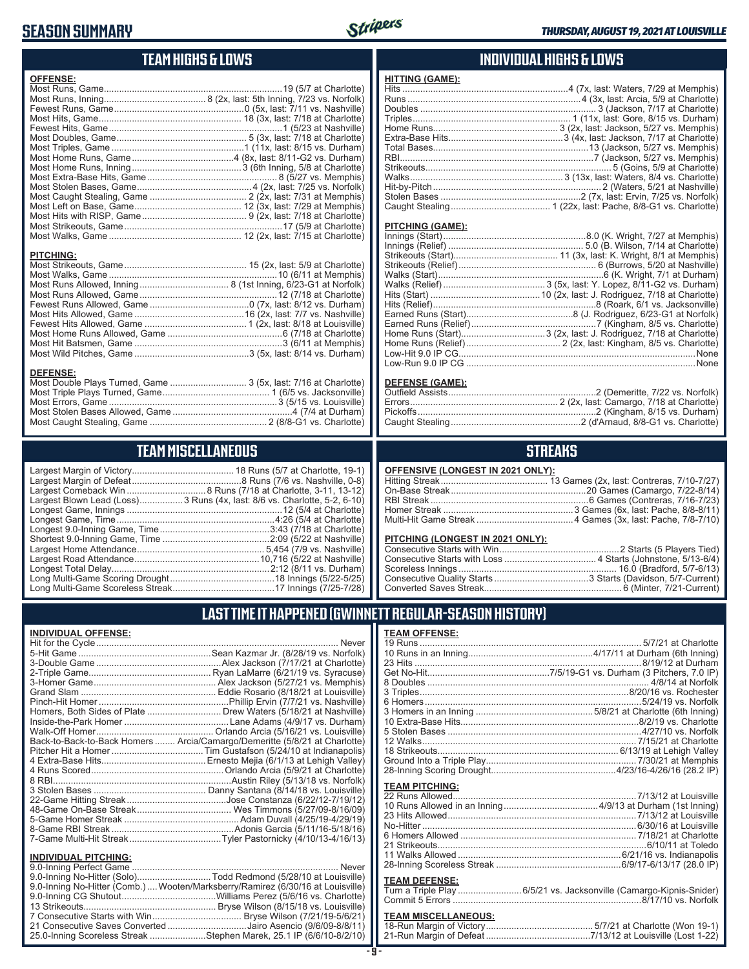#### **SEASON SUMMARY**



#### **TEAM HIGHS & LOWS**

| <b>OFFENSE:</b>                                                                    |  |
|------------------------------------------------------------------------------------|--|
|                                                                                    |  |
|                                                                                    |  |
|                                                                                    |  |
|                                                                                    |  |
|                                                                                    |  |
|                                                                                    |  |
|                                                                                    |  |
|                                                                                    |  |
|                                                                                    |  |
|                                                                                    |  |
|                                                                                    |  |
|                                                                                    |  |
|                                                                                    |  |
|                                                                                    |  |
|                                                                                    |  |
|                                                                                    |  |
|                                                                                    |  |
| <b>PITCHING:</b>                                                                   |  |
|                                                                                    |  |
| <b>DEFENSE:</b><br>Most Double Plays Turned, Game  3 (5x, last: 7/16 at Charlotte) |  |
|                                                                                    |  |

#### Most Stolen Bases Allowed, Game ...............................................4 (7/4 at Durham) Most Caught Stealing, Game .............................................. 2 (8/8-G1 vs. Charlotte)

Most Errors, Game ..................................................................3 (5/15 vs. Louisville)

#### **TEAM MISCELLANEOUS**

| Largest Blown Lead (Loss)3 Runs (4x, last: 8/6 vs. Charlotte, 5-2, 6-10) |
|--------------------------------------------------------------------------|
|                                                                          |
| Longest Game, Time……………………………………………………4:26 (5/4 at Charlotte)            |
|                                                                          |
|                                                                          |
|                                                                          |
|                                                                          |
|                                                                          |
|                                                                          |
|                                                                          |

#### **INDIVIDUAL HIGHS & LOWS**

| <b>HITTING (GAME):</b> |                                                                   |
|------------------------|-------------------------------------------------------------------|
|                        | Hits ……………………………………………………………4 (7x, last: Waters, 7/29 at Memphis) |
|                        |                                                                   |
|                        |                                                                   |
|                        |                                                                   |
|                        |                                                                   |
|                        |                                                                   |
|                        |                                                                   |
|                        |                                                                   |
|                        |                                                                   |
|                        |                                                                   |
|                        |                                                                   |
|                        |                                                                   |
|                        |                                                                   |
|                        |                                                                   |

#### **PITCHING (GAME):**

#### **DEFENSE (GAME):**

#### **STREAKS**

#### **OFFENSIVE (LONGEST IN 2021 ONLY):**

#### **PITCHING (LONGEST IN 2021 ONLY):**

### **LAST TIME IT HAPPENED (GWINNETT REGULAR-SEASON HISTORY)**

| <b>INDIVIDUAL OFFENSE:</b>  |                                                                            |
|-----------------------------|----------------------------------------------------------------------------|
|                             |                                                                            |
|                             |                                                                            |
|                             |                                                                            |
|                             |                                                                            |
|                             |                                                                            |
|                             |                                                                            |
|                             |                                                                            |
|                             | Homers, Both Sides of Plate  Drew Waters (5/18/21 at Nashville)            |
|                             |                                                                            |
|                             |                                                                            |
|                             | Back-to-Back-to-Back Homers  Arcia/Camargo/Demeritte (5/8/21 at Charlotte) |
|                             |                                                                            |
|                             |                                                                            |
|                             |                                                                            |
|                             |                                                                            |
|                             |                                                                            |
|                             |                                                                            |
|                             |                                                                            |
|                             |                                                                            |
|                             |                                                                            |
|                             |                                                                            |
| <b>INDIVIDUAL PITCHING:</b> |                                                                            |
| 0.0 Inning Perfect Came     | Nover                                                                      |

| 9.0-Inning No-Hitter (Solo)Todd Redmond (5/28/10 at Louisville)                |  |
|--------------------------------------------------------------------------------|--|
| 9.0-Inning No-Hitter (Comb.) Wooten/Marksberry/Ramirez (6/30/16 at Louisville) |  |
|                                                                                |  |
|                                                                                |  |
|                                                                                |  |
| 21 Consecutive Saves Converted Jairo Asencio (9/6/09-8/8/11)                   |  |
| 25.0-Inning Scoreless Streak Stephen Marek, 25.1 IP (6/6/10-8/2/10)            |  |

#### **TEAM OFFENSE:**

|                       | 12 Walks………………………………………………………………………7/15/21 at Charlotte |
|-----------------------|---------------------------------------------------------|
|                       |                                                         |
|                       |                                                         |
|                       |                                                         |
| <b>TEAM PITCHING:</b> |                                                         |
|                       |                                                         |
|                       |                                                         |
|                       |                                                         |
|                       |                                                         |
|                       |                                                         |
|                       |                                                         |
|                       |                                                         |
|                       |                                                         |

#### **TEAM DEFENSE:**

| Turn a Triple Play 6/5/21 vs. Jacksonville (Camargo-Kipnis-Snider) |
|--------------------------------------------------------------------|
|                                                                    |

### **TEAM MISCELLANEOUS:**<br>18-Run Margin of Victory....